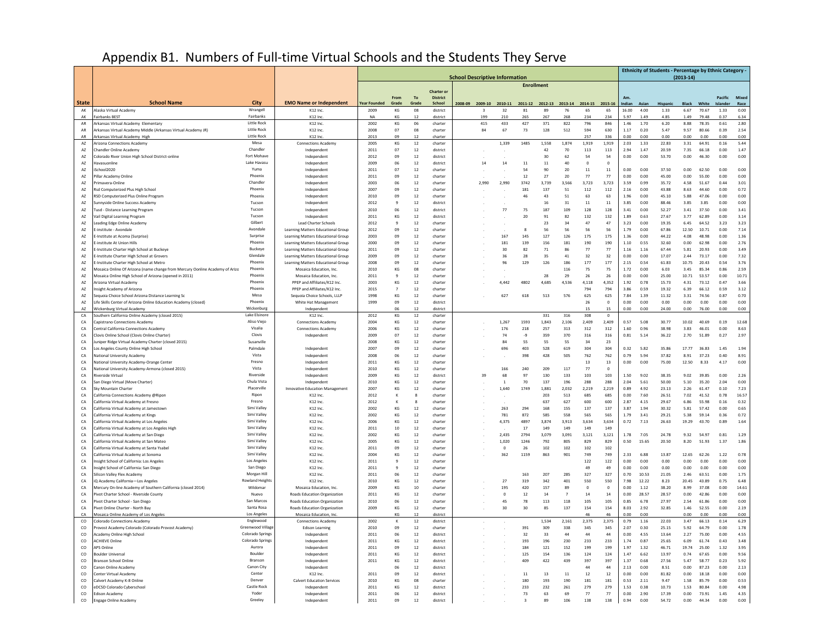## Appendix B1. Numbers of Full-time Virtual Schools and the Students They Serve

|                              |                                                                                                                                        |                                    | <b>School Descriptive Information</b><br><b>Enrollment</b>               |                     |                                      |              |                           |  |                         |                       |                 |                 |              |                         |                    |                         |               | Ethnicity of Students - Percentage by Ethnic Category - | $(2013-14)$   |                |                    |                       |
|------------------------------|----------------------------------------------------------------------------------------------------------------------------------------|------------------------------------|--------------------------------------------------------------------------|---------------------|--------------------------------------|--------------|---------------------------|--|-------------------------|-----------------------|-----------------|-----------------|--------------|-------------------------|--------------------|-------------------------|---------------|---------------------------------------------------------|---------------|----------------|--------------------|-----------------------|
|                              |                                                                                                                                        |                                    |                                                                          |                     |                                      |              | <b>Charter or</b>         |  |                         |                       |                 |                 |              |                         |                    |                         |               |                                                         |               |                |                    |                       |
| <b>State</b>                 | <b>School Name</b>                                                                                                                     | City                               | <b>EMO Name or Independent</b>                                           | <b>Year Founded</b> | From<br>Grade                        | To<br>Grade  | <b>District</b><br>School |  | 2008-09 2009-10 2010-11 |                       | 2011-12 2012-13 |                 |              | 2013-14 2014-15 2015-16 |                    | A <sub>m</sub><br>ndian | Asian         | Hispanic                                                | Black         | White          | <b>Jel:</b>        | Pacific Mixed<br>Race |
| AK                           | Alaska Virtual Academy                                                                                                                 | Wrangell                           | K12 Inc.                                                                 | 2009                | KG                                   | 08           | district                  |  | $\mathbf{R}$            | 32                    | 81              | 89              | 76           | 65                      | 65                 | 16.00                   | 4.00          | 1.33                                                    | 6.67          | 70.67          | 1.33               | 0.00                  |
| AK                           | <b>Fairbanks BEST</b>                                                                                                                  | Fairbanks                          | K12 Inc.                                                                 | NA                  | KG                                   | 12           | district                  |  | 199                     | 210                   | 265             | 267             | 268          | 234                     | 234                | 5.97                    | 1.49          | 4.85                                                    | 1.49          | 79.48          | 0.37               | 6.34                  |
| AR<br>AR                     | Arkansas Virtual Academy Elementary<br>Arkansas Virtual Academy Middle (Arkansas Virtual Academy JR)                                   | Little Rock<br>Little Rock         | K12 Inc.<br>K12 Inc.                                                     | 2002<br>2008        | KG<br>07                             | 06<br>08     | charter<br>charter        |  | 415<br>84               | 433<br>67             | 427<br>73       | 371<br>128      | 822<br>512   | 796<br>594              | 846<br>630         | 1.46<br>1.17            | 1.70<br>0.20  | 6.20<br>5.47                                            | 8.88<br>9.57  | 78.35<br>80.66 | 0.61<br>0.39       | 2.80<br>2.54          |
| AR                           | Arkansas Virtual Academy High                                                                                                          | <b>Little Rock</b>                 | K12 Inc.                                                                 | 2013                | 09                                   | 12           | charter                   |  |                         |                       |                 |                 |              | 257                     | 336                | 0.00                    | 0.00          | 0.00                                                    | 0.00          | 0.00           | 0.00               | 0.00                  |
| $\mathsf{A}\mathsf{Z}$<br>A7 | <b>Arizona Connections Academy</b><br>Chandler Online Academy                                                                          | Mesa<br>Chandler                   | <b>Connections Academy</b><br>Independent                                | 2005<br>2011        | KG<br>07                             | $12\,$<br>12 | charter<br>district       |  |                         | 1,339                 | 1485            | 1,558<br>42     | 1,874<br>70  | 1,919<br>113            | 1,919<br>113       | 2.03<br>2.94            | 1.33<br>1.47  | 22.83<br>20.59                                          | 3.31<br>7.35  | 64.91<br>66.18 | $\bf 0.16$<br>0.00 | 5.44<br>1.47          |
| AZ                           | Colorado River Union High School District-online                                                                                       | Fort Mohave                        | Independent                                                              | 2012                | 09                                   | 12           | district                  |  |                         |                       |                 | 30              | 62           | 54                      | 54                 | 0.00                    | 0.00          | 53.70                                                   | 0.00          | 46.30          | 0.00               | 0.00                  |
| AZ                           | Havasuonline                                                                                                                           | Lake Havasu                        | Independent                                                              | 2009                | 06                                   | 12           | district                  |  | 14                      | $14\,$                | 11              | 11              | 40           | $\circ$                 | $\mathbf 0$        |                         |               |                                                         |               |                |                    |                       |
| A7                           | School2020                                                                                                                             | Yuma                               | Independent                                                              | 2011                | 07                                   | 12           | charter                   |  |                         |                       | 54              | 90              | 20           | 11                      | 11                 | 0.00                    | 0.00          | 37.50                                                   | 0.00          | 62.50          | 0.00               | 0.00                  |
| $\mathsf{A}\mathsf{Z}$<br>AZ | Pillar Academy Online<br>rimavera-Onlir                                                                                                | Phoenix<br>Chandler                | Independent<br>Independent                                               | 2011<br>2003        | 09<br>06                             | 12<br>12     | charter<br>charter        |  | 2,990                   | 2,990                 | $12\,$<br>3742  | $27\,$<br>3,739 | 20<br>3,566  | $77$<br>3,723           | $77\,$<br>3,723    | 0.00<br>3.59            | 0.00<br>0.99  | 45.00<br>35.72                                          | 0.00<br>4.58  | 55.00<br>51.67 | 0.00<br>0.44       | 0.00<br>3.01          |
| AZ                           | Rsd Computerized Plus High School                                                                                                      | Phoenix                            | Independent                                                              | 2007                | 09                                   | 12           | charter                   |  |                         |                       | 181             | 137             | 51           | 112                     | 112                | 2.16                    | 0.00          | 43.88                                                   | 8.63          | 44.60          | 0.00               | 0.72                  |
| AZ                           | RSD Computerized Plus Online Program                                                                                                   | Phoenix                            | Independent                                                              | 2010                | 09                                   | 12           | charter                   |  |                         |                       | 46              | 43              | 51           | 63                      | 63                 | 1.96                    | 0.00          | 45.10                                                   | 5.88          | 47.06          | 0.00               | 0.00                  |
| AZ                           | Sunnyside Online Success Academy                                                                                                       | Tucson<br>Tucson                   | Independent                                                              | 2012<br>2010        | $\overline{g}$<br>06                 | 12<br>12     | district<br>district      |  |                         | 77                    |                 | 16<br>187       | 31<br>109    | 11<br>128               | 11<br>128          | 3.85<br>3.41            | 0.00<br>0.00  | 88.46<br>52.27                                          | 3.85<br>3.41  | 3.85<br>37.50  | 0.00<br>0.00       | 0.00                  |
| AZ<br>AZ                     | Tusd - Distance Learning Program<br>Vail Digital Learning Program                                                                      | Tucsor                             | Independent<br>Independent                                               | 2011                | KG                                   | 12           | district                  |  |                         |                       | 75<br>20        | 91              | 82           | 132                     | 132                | 1.89                    | 0.63          | 27.67                                                   | 3.77          | 62.89          | 0.00               | 3.41<br>3.14          |
| $\mathsf{A}\mathsf{Z}$       | Leading Edge Online Academy                                                                                                            | Gilbert                            | <b>Lead Charter Schools</b>                                              | 2012                | $\overline{9}$                       | 12           | charter                   |  |                         |                       |                 | 23              | 34           | 47                      | 47                 | 3.23                    | 0.00          | 19.35                                                   | 6.45          | 64.52          | 3.23               | 3.23                  |
| AZ                           | E-institute - Avondalı                                                                                                                 | Avondale                           | Learning Matters Educational Group                                       | 2012                | 09                                   | $12\,$       | charter                   |  |                         |                       | 8               | 56              | 56           | 56                      | 56                 | 1.79                    | 0.00          | 67.86                                                   | 12.50         | 10.71          | 0.00               | 7.14                  |
| AZ<br>AZ                     | <b>E-Institute at Acoma (Surnrise)</b><br>i-institute At Union Hills                                                                   | Surprise<br>Phoenix                | Learning Matters Educational Group<br>Learning Matters Educational Group | 2003<br>2000        | 09<br>09                             | 12<br>12     | charter<br>charter        |  |                         | 167<br>181            | 145<br>139      | 127<br>156      | 126<br>181   | 175<br>190              | 175<br>190         | 1.36<br>1.10            | 0.00<br>0.55  | 44.22<br>32.60                                          | 4.08<br>0.00  | 48.98<br>62.98 | 0.00<br>0.00       | 1.36<br>2.76          |
| AZ                           | E-Institute Charter High School at Buckey                                                                                              | Buckeye                            | Learning Matters Educational Group                                       | 2011                | 09                                   | 12           | charter                   |  |                         | 30                    | 82              | 71              | 86           | 77                      | 77                 | 1.16                    | 1.16          | 67.44                                                   | 5.81          | 20.93          | 0.00               | 3.49                  |
| AZ                           | E-Institute Charter High School at Grovers                                                                                             | Glendale                           | Learning Matters Educational Group                                       | 2009                | 09                                   | 12           | charter                   |  |                         | 36                    | 28              | 35              | 41           | 32                      | 32                 | 0.00                    | 0.00          | 17.07                                                   | 2.44          | 73.17          | 0.00               | 7.32                  |
| $\mathsf{A}\mathsf{Z}$       | -Institute Charter High School at Metro                                                                                                | Phoenix<br>Phoenix                 | Learning Matters Educational Group                                       | 2008                | 09                                   | 12           | charter                   |  |                         | 96                    | 129             | 126             | 186          | 177                     | 177                | 2.15                    | 0.54          | 61.83                                                   | 10.75         | 20.43          | 0.54               | 3.76                  |
| $\mathsf{A}\mathsf{Z}$<br>AZ | Mosaica Online Of Arizona (name change from Mercury Oonline Academy of Arizo<br>Mosaica Online High School of Arizona (opened in 2011) | Phoenix                            | Mosaica Education, Inc.<br>Mosaica Education, Inc.                       | 2010<br>2011        | $\mathsf{KG}\xspace$<br>$\mathbf{q}$ | 08<br>12     | charter<br>charter        |  |                         |                       |                 | 28              | 116<br>79    | $75\,$<br>26            | $75\,$<br>26       | 1.72<br>0.00            | 0.00<br>0.00  | 6.03<br>25.00                                           | 3.45<br>10.71 | 85.34<br>53.57 | 0.86<br>0.00       | 2.59<br>10.71         |
| $\mathsf{AZ}$                | Arizona Virtual Academy                                                                                                                | Phoenix                            | PPEP and Affiliates/K12 Inc.                                             | 2003                | KG                                   | 12           | charter                   |  |                         | 4.442                 | 4802            | 4,685           | 4,536        | 4,118                   | 4,352              | 1.92                    | 0.78          | 15.73                                                   | 4.31          | 73.12          | 0.47               | 3.66                  |
| AZ                           | Insight Academy of Arizona                                                                                                             | Phoenix                            | PPEP and Affiliates/K12 Inc.                                             | 2015                | 7                                    | 12           | charter                   |  |                         |                       |                 |                 |              | 794                     | 794                | 3.86                    | 0.59          | 19.32                                                   | 6.39          | 66.12          | 0.59               | 3.12                  |
| A7<br>$\mathsf{AZ}$          | Sequoia Choice School Arizona Distance Learning Sc                                                                                     | Mesa<br>Phoenix                    | Seguoia Choice Schools, LLLP<br>White Hat Management                     | 1998<br>1999        | KG<br>09                             | 12<br>12     | charter<br>district       |  |                         | 627                   | 618             | 513             | 576          | 625<br>26               | 625<br>$\mathbf 0$ | 7.84<br>0.00            | 1.39<br>0.00  | 11.32<br>0.00                                           | 3.31<br>0.00  | 74.56<br>0.00  | 0.87<br>0.00       | 0.70<br>0.00          |
| AZ                           | Life Skills Center of Arizona Online Education Academy (closed)<br>Wickenburg Virtual Academy                                          | Wickenburg                         | Indep                                                                    |                     | 06                                   | 12           | district                  |  |                         |                       |                 |                 |              | 15                      | 15                 | 0.00                    | 0.00          | 24.00                                                   | 0.00          | 76.00          | 0.00               | 0.00                  |
| CA                           | Southern California Online Academy (closed 2015)                                                                                       | Lake Elsinore                      | K12 Inc.                                                                 | 2012                | KG                                   | $12\,$       | charter                   |  |                         |                       |                 | 331             | 316          | 308                     | $\mathbf 0$        |                         |               |                                                         |               |                |                    |                       |
| CA                           | Capistrano Connections Academy                                                                                                         | Aliso Viejo                        | <b>Connections Academy</b>                                               | 2004                | KG                                   | 12           | charter                   |  |                         | 1.267                 | 1593            | 1.843           | 2.106        | 2.409                   | 2.409              | 0.57                    | 5.08          | 30.77                                                   | 10.02         | 40.69          | 0.19               | 12.68                 |
| CA<br>CA                     | Central California Connections Academy<br>Clovis Online School (Clovis Online Charter)                                                 | Visalia<br>Clovis                  | <b>Connections Academy</b><br>Independent                                | 2006<br>2009        | KG<br>07                             | 12<br>12     | charter<br>charter        |  |                         | 176<br>74             | 218<br>$-9$     | 257<br>359      | 313<br>370   | 312<br>316              | 312<br>316         | 1.60<br>0.81            | 0.96<br>5.14  | 38.98<br>36.22                                          | 3.83<br>2.70  | 46.01<br>51.89 | 0.00<br>0.27       | 8.63<br>2.97          |
| CA                           | Juniper Ridge Virtual Academy Charter (closed 2015)                                                                                    | Susanville                         |                                                                          | 2008                | KG                                   | 12           | charter                   |  |                         | 84                    | 55              | 55              | 55           | 34                      | 23                 |                         |               |                                                         |               |                |                    |                       |
| CA                           | Los Angeles County Online High School                                                                                                  | Palmdale                           | Independent                                                              | 2007                | 09                                   | 12           | charter                   |  |                         | 696                   | 403             | 528             | 619          | 304                     | 304                | 0.32                    | 5.82          | 35.86                                                   | 17.77         | 36.83          | 1.45               | 1.94                  |
| CA                           | National University Academy                                                                                                            | Vista<br>Fresno                    | Independent                                                              | 2008                | 06                                   | $12\,$       | charter                   |  |                         |                       | 398             | 428             | 505          | 762                     | 762                | 0.79                    | 5.94          | 37.82                                                   | 8.91          | 37.23          | 0.40               | 8.91                  |
| CA<br>CA                     | National University Academy-Orange Center<br>National University Academy-Armona (closed 2015)                                          | Vista                              | Independent<br>Independent                                               | 2011<br>2010        | KG<br>KG                             | 12<br>12     | charter<br>charter        |  |                         | 166                   | 240             | 209             | 117          | 13<br>77                | 13<br>$\Omega$     | 0.00                    | 0.00          | 75.00                                                   | 12.50         | 8.33           | 4.17               | 0.00                  |
| CA                           | Riverside Virtual                                                                                                                      | Riverside                          | Independent                                                              | 2009                | KG                                   | 12           | district                  |  | 39                      | 68                    | 97              | 130             | 133          | 103                     | 103                | 1.50                    | 9.02          | 38.35                                                   | 9.02          | 39.85          | 0.00               | 2.26                  |
| CA                           | San Diego Virtual (Move Charter)                                                                                                       | Chula Vista                        | Independent                                                              | 2010                | KG                                   | 12           | charter                   |  |                         | $\overline{1}$        | 70              | 137             | 196          | 288                     | 288                | 2.04                    | 5.61          | 50.00                                                   | 5.10          | 35.20          | 2.04               | 0.00                  |
| CA<br>CA                     | Sky Mountain Charter<br>California Connections Academy @Ripon                                                                          | Placerville<br>Rinon               | Innovative Education Management<br>K12 Inc.                              | 2007<br>2012        | KG<br>$\mathsf{K}$                   | 12           | charter<br>charter        |  |                         | 1.640                 | 1749            | 1,881<br>203    | 2.032<br>513 | 2.219<br>685            | 2.219<br>685       | 0.89<br>0.00            | 4.92<br>7.60  | 23.13<br>26.51                                          | 2.26<br>7.02  | 61.47<br>41.52 | 0.10<br>0.78       | 7.23<br>16.57         |
| CA                           | California Virtual Academy at Fresno                                                                                                   | Fresno                             | K12 Inc.                                                                 | 2012                | ĸ                                    | $\circ$      | charter                   |  |                         |                       |                 | 637             | 627          | 600                     | 600                | 2.87                    | 4.15          | 29.67                                                   | 6.86          | 55.98          | 0.16               | 0.32                  |
| CA                           | California Virtual Academy at Jamestown                                                                                                | Simi Valley                        | K12 Inc.                                                                 | 2002                | KG                                   | 12           | charter                   |  |                         | 263                   | 294             | 168             | 155          | 137                     | 137                | 3.87                    | 1.94          | 30.32                                                   | 5.81          | 57.42          | 0.00               | 0.65                  |
| CA                           | California Virtual Academy at Kings                                                                                                    | Simi Valley                        | K12 Inc.                                                                 | 2002                | KG                                   | 12           | charter                   |  |                         | 781                   | 872             | 585             | 558          | 565                     | 565                | 1.79                    | 3.41          | 29.21                                                   | 5.38          | 59.14          | 0.36               | 0.72                  |
| CA<br>CA                     | California Virtual Academy at Los Angeles<br>California Virtual Academy at Los Angeles High                                            | Simi Valley<br>Simi Valley         | K12 Inc.<br>K12 Inc.                                                     | 2006<br>2011        | KG<br>$10\,$                         | 12<br>12     | charter<br>charter        |  |                         | 4.375                 | 4897<br>$17\,$  | 3.874<br>149    | 3.913<br>149 | 3.634<br>149            | 3.634<br>149       | 0.72                    | 7.13          | 26.63                                                   | 19.29         | 43.70          | 0.89               | 1.64                  |
| CA                           | California Virtual Academy at San Diego                                                                                                | Simi Valley                        | K12 Inc.                                                                 | 2002                | KG                                   | 12           | charter                   |  |                         | 2,435                 | 2794            | 3,079           | 3,091        | 3,121                   | 3,121              | 1.78                    | 7.05          | 24.78                                                   | 9.32          | 54.97          | 0.81               | 1.29                  |
| CA                           | California Virtual Academy at San Mateo                                                                                                | Simi Valley                        | K12 Inc.                                                                 | 2005                | KG                                   | 12           | charter                   |  |                         | 1,020                 | 1246            | 792             | 805          | 829                     | 829                | 0.50                    | 15.65         | 20.50                                                   | 8.20          | 51.93          | 1.37               | 1.86                  |
| CA<br>CA                     | California Virtual Academy at Santa Ysabel<br>California Virtual Academy at Sonoma                                                     | Simi Valley<br>Simi Valley         | K12 Inc.<br>K12 Inc.                                                     | 2011<br>2004        | 09<br>KG                             | 12<br>12     | charter<br>charter        |  |                         | $\overline{0}$<br>362 | 26<br>1159      | 102<br>863      | 102<br>901   | 102<br>749              | 102<br>749         | 2.33                    | 6.88          | 13.87                                                   | 12.65         | 62.26          | 1.22               | 0.78                  |
| CA                           | Insight School of California: Los Angeles                                                                                              | Los Angeles                        | K12 Inc.                                                                 | 2011                | $\mathbf{q}$                         | 12           | charter                   |  |                         |                       |                 |                 |              | 122                     | 122                | 0.00                    | 0.00          | 0.00                                                    | 0.00          | 0.00           | 0.00               | 0.00                  |
| CA                           | Insight School of California: San Diego                                                                                                | San Diego                          | K12 Inc.                                                                 | 2011                | 9                                    | 12           | charter                   |  |                         |                       |                 |                 |              | 49                      | 49                 | 0.00                    | 0.00          | 0.00                                                    | 0.00          | 0.00           | 0.00               | 0.00                  |
| CA                           | Silicon Valley Flex Academy                                                                                                            | Morgan Hill                        | K12 Inc.                                                                 | 2011                | 06                                   | 12           | charter                   |  |                         |                       | 163             | 207             | 285          | 327                     | 327                | 0.70                    | 10.53         | 21.05                                                   | 2.46          | 63.51          | 0.00               | 1.75                  |
| CA<br>CA                     | iQ Academy California-Los Angeles<br>Mercury On-line Academy of Southern California (closed 2014)                                      | <b>Rowland Heights</b><br>Wildomar | K12 Inc.<br>Mosaica Education, Inc.                                      | 2010<br>2009        | KG<br>KG                             | $12\,$<br>10 | charter<br>charter        |  |                         | 27<br>195             | 319<br>420      | 342<br>157      | 401<br>89    | 550<br>$\Omega$         | 550<br>$\Omega$    | 7.98<br>0.00            | 12.22<br>1.12 | 8.23<br>38.20                                           | 20.45<br>8.99 | 43.89<br>37.08 | 0.75<br>0.00       | 6.48<br>14.61         |
| CA                           | Pivot Charter School - Riverside County                                                                                                | Nuevo                              | Roads Education Organization                                             | 2011                | KG                                   | 12           | charter                   |  |                         | $\,$ 0                | $12\,$          | 14              | 7            | 14                      | 14                 | 0.00                    | 28.57         | 28.57                                                   | 0.00          | 42.86          | 0.00               | 0.00                  |
| CA                           | Pivot Charter School - San Diego                                                                                                       | San Marcos                         | Roads Education Organization                                             | 2010                | 06                                   | 12           | charter                   |  |                         | 45                    | 78              | 113             | 118          | 105                     | 105                | 0.85                    | 6.78          | 27.97                                                   | 2.54          | 61.86          | 0.00               | 0.00                  |
| CA                           | Pivot Online Charter - North Bay                                                                                                       | Santa Rosa                         | Roads Education Organization                                             | 2009                | KG                                   | 12           | charter                   |  |                         | 30                    | 30              | 85              | 137          | 154                     | 154                | 8.03                    | 2.92          | 32.85                                                   | 1.46          | 52.55          | 0.00               | 2.19                  |
| CA<br>co                     | Mosaica Online Academy of Los Angeles<br><b>Colorado Connections Academy</b>                                                           | Los Angeles<br>Englewood           | Mosaica Education, Inc.<br><b>Connections Academy</b>                    | 2002                | KG<br>$\mathsf{K}$                   | 12<br>$12\,$ | district<br>district      |  |                         |                       |                 | 1,534           | 2,161        | 46<br>2,375             | 46<br>2,375        | 0.00<br>0.79            | 0.00<br>1.16  | 22.03                                                   | 0.00<br>3.47  | 0.00<br>66.13  | 0.00<br>0.14       | 0.00<br>6.29          |
| co                           | Provost Academy Colorado (Colorado Provost Academy)                                                                                    | Greenwood Village                  | <b>Edison Learning</b>                                                   | 2010                | 09                                   | 12           | charter                   |  |                         |                       | 391             | 309             | 338          | 345                     | 345                | 2.07                    | 0.30          | 25.15                                                   | 5.92          | 64.79          | 0.00               | 1.78                  |
| co                           | Academy Online High School                                                                                                             | <b>Colorado Springs</b>            | Independent                                                              | 2011                | 06                                   | 12           | district                  |  |                         |                       | 32              | 33              | 44           | 44                      | 44                 | 0.00                    | 4.55          | 13.64                                                   | 2.27          | 75.00          | 0.00               | 4.55                  |
| CO                           | <b>ACHIEVE Online</b><br><b>APS Online</b>                                                                                             | Colorado Springs<br>Aurora         | Independent                                                              | 2011<br>2011        | KG<br>09                             | 12           | district                  |  |                         |                       | 193<br>184      | 196             | 230          | 233<br>199              | 233<br>199         | 1.74<br>1.97            | 0.87          | 25.65<br>46.71                                          | 6.09<br>19.74 | 61.74<br>25.00 | 0.43               | 3.48                  |
| co<br>$\Omega$               | <b>Boulder Universal</b>                                                                                                               | Boulde                             | Independent<br>Independent                                               | 2011                | KG                                   | 12<br>12     | district<br>district      |  |                         |                       | 125             | 121<br>154      | 152<br>136   | 124                     | 124                | 1.47                    | 1.32<br>6.62  | 13.97                                                   | 0.74          | 67.65          | 1.32<br>0.00       | 3.95<br>9.56          |
| ${\sf co}$                   | <b>Branson School Online</b>                                                                                                           | Branson                            | Independent                                                              | 2011                | $\mathsf{KG}\xspace$                 | $12\,$       | district                  |  |                         |                       | 409             | 422             | 439          | 397                     | 397                | 1.37                    | 0.68          | 27.56                                                   | 5.47          | 58.77          | 0.23               | 5.92                  |
| co                           | Canon Online Academy                                                                                                                   | Canon City                         | Independent                                                              |                     | 06                                   | 12           | district                  |  |                         |                       |                 |                 |              | 44                      | 44                 | 2.13                    | 0.00          | 8.51                                                    | 0.00          | 87.23          | 0.00               | 2.13                  |
| co<br>CO                     | Center Virtual Academy<br>Calvert Academy K-8 Online                                                                                   | Center<br>Denver                   | K12 Inc.<br><b>Calvert Education Services</b>                            | 2011<br>2010        | 09<br>KG                             | 12<br>08     | district<br>charter       |  |                         |                       | 11<br>180       | 13<br>193       | 11<br>190    | 12<br>181               | 12<br>181          | 0.00<br>0.53            | 0.00<br>2.11  | 81.82<br>9.47                                           | 0.00<br>1.58  | 18.18<br>85.79 | 0.00<br>0.00       | 0.00<br>0.53          |
| co                           | eDCSD Colorado Cyberschoo                                                                                                              | Castle Rock                        | Independent                                                              | 2011                | KG                                   | 12           | district                  |  |                         |                       | 233             | 232             | 261          | 279                     | 279                | 1.53                    | 0.38          | 10.73                                                   | 1.53          | 80.84          | 0.00               | 4.98                  |
| co                           | <b>Edison Academy</b>                                                                                                                  | Yoder                              | Independent                                                              | 2011                | 06                                   | 12           | district                  |  |                         |                       | 73              | 63              | 69           | 77                      | 77                 | 0.00                    | 2.90          | 17.39                                                   | 0.00          | 73.91          | 1.45               | 4.35                  |
| co                           | <b>Engage Online Academy</b>                                                                                                           | Greeley                            | Independent                                                              | 2011                | 09                                   | 12           | district                  |  |                         |                       |                 | 89              | 106          | 138                     | 138                | 0.94                    | 0.00          | 54.72                                                   | 0.00          | 44.34          | 0.00               | 0.00                  |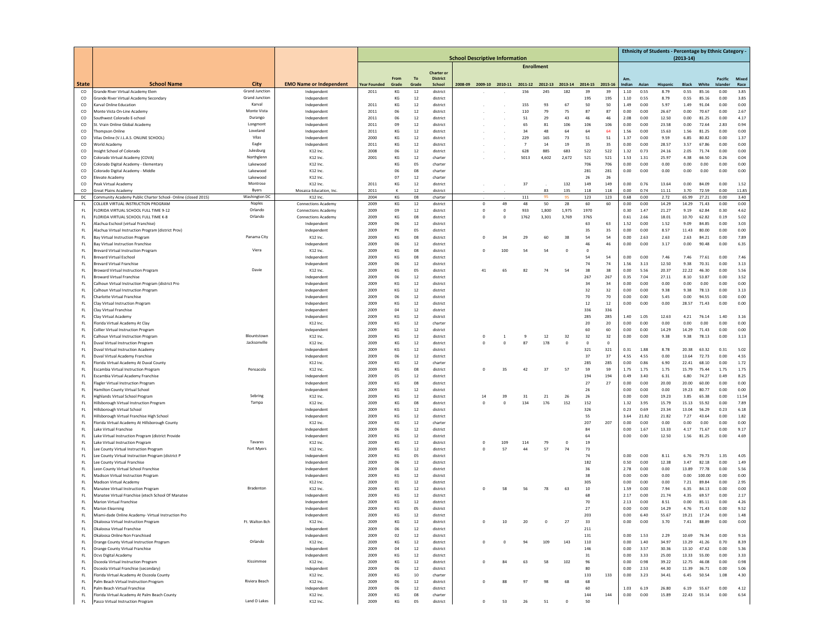|               |                                                                                            |                       |                                                   | <b>School Descriptive Information</b> |               |                  |                           |  |                        |                                         |                   |                |                        |                  |               |                |               | <b>Ethnicity of Students - Percentage by Ethnic Category -</b> | $(2013 - 14)$        |                |                     |              |
|---------------|--------------------------------------------------------------------------------------------|-----------------------|---------------------------------------------------|---------------------------------------|---------------|------------------|---------------------------|--|------------------------|-----------------------------------------|-------------------|----------------|------------------------|------------------|---------------|----------------|---------------|----------------------------------------------------------------|----------------------|----------------|---------------------|--------------|
|               |                                                                                            |                       |                                                   |                                       |               |                  |                           |  |                        |                                         | <b>Enrollment</b> |                |                        |                  |               |                |               |                                                                |                      |                |                     |              |
|               |                                                                                            |                       |                                                   |                                       |               |                  | <b>Charter or</b>         |  |                        |                                         |                   |                |                        |                  |               |                |               |                                                                |                      |                |                     |              |
| State         | <b>School Name</b>                                                                         | City                  | <b>EMO Name or Independent</b>                    | <b>Year Founded</b>                   | From<br>Grade | To<br>Grade      | <b>District</b><br>School |  |                        |                                         |                   |                |                        |                  |               | Am.            | Asian         | <b>Hispanic</b>                                                |                      | White          | Pacific<br>Islander | Mixed        |
| co            | Grande River Virtual Academy Elen                                                          | <b>Grand Junction</b> | Independen                                        | 2011                                  | KG            | $12\,$           | district                  |  |                        | 2008-09 2009-10 2010-11 2011-12 2012-13 | 156               | 245            | 2013-14 2014-15<br>182 | 39               | 2015-16<br>39 | Indian<br>1.10 | 0.55          | 8.79                                                           | <b>Black</b><br>0.55 | 85.16          | 0.00                | Race<br>3.85 |
| co            | Grande River Virtual Academy Secondary                                                     | <b>Grand Junction</b> | Independen                                        |                                       | KG            | $12\,$           | district                  |  |                        |                                         |                   |                |                        | 195              | 195           | 1.10           | 0.55          | 8.79                                                           | 0.55                 | 85.16          | 0.00                | 3.85         |
| <sub>co</sub> | Karval Online Education                                                                    | Karval                | Independent                                       | 2011                                  | KG            | 12               | district                  |  |                        |                                         | 155               | 93             | 67                     | 50               | 50            | 1.49           | 0.00          | 5.97                                                           | 1.49                 | 91.04          | 0.00                | 0.00         |
| co            | Monte Vista On-Line Academy                                                                | Monte Vista           | Independent                                       | 2011                                  | 06            | 12               | district                  |  |                        |                                         | 110               | 79             | 75                     | 87               | 87            | 0.00           | 0.00          | 26.67                                                          | 0.00                 | 70.67          | 0.00                | 2.67         |
| co<br>co      | outhwest Colorado E-school<br>t. Vrain Online Global Academy                               | Durango<br>Longmont   | Independen<br>Independent                         | 2011<br>2011                          | 06<br>09      | $12\,$<br>$12\,$ | district<br>district      |  |                        |                                         | 51<br>65          | 29<br>81       | 43<br>106              | 46<br>106        | 46<br>106     | 2.08<br>0.00   | 0.00<br>0.00  | 12.50<br>23.58                                                 | 0.00<br>0.00         | 81.25<br>72.64 | 0.00<br>2.83        | 4.17<br>0.94 |
| <sub>co</sub> | Thompson Online                                                                            | Loveland              | Independent                                       | 2011                                  | KG            | 12               | district                  |  |                        |                                         | 34                | 48             | 64                     | 64               | 64            | 1.56           | 0.00          | 15.63                                                          | 1.56                 | 81.25          | 0.00                | 0.00         |
| co            | /ilas Online (V.I.L.A.S. ONLINE SCHOOL)                                                    | Vilas                 | Independent                                       | 2000                                  | KG            | 12               | district                  |  |                        |                                         | 229               | 165            | 73                     | 51               | 51            | 1.37           | 0.00          | 9.59                                                           | 6.85                 | 80.82          | 0.00                | 1.37         |
| co            | <b>Norld Academy</b>                                                                       | Eagle                 | Independent                                       | 2011                                  | KG            | $12\,$           | district                  |  |                        |                                         | $\overline{7}$    | 14             | 19                     | 35               | 35            | 0.00           | 0.00          | 28.57                                                          | 3.57                 | 67.86          | 0.00                | 0.00         |
| co            | nsight School of Colorado                                                                  | Julesburg             | K12 Inc.                                          | 2008                                  | 06            | $12\,$           | district                  |  |                        |                                         | 628               | 885            | 683                    | 522              | 522           | 1.32           | 0.73          | 24.16                                                          | 2.05                 | 71.74          | 0.00                | 0.00         |
| <sub>co</sub> | Colorado Virtual Academy (COVA)                                                            | Northglenn            | K12 Inc.                                          | 2001                                  | KG            | 12               | charter                   |  |                        |                                         | 5013              | 4.602          | 2.672                  | 521              | 521           | 1.53           | 1.31          | 25.97                                                          | 4.38                 | 66.50          | 0.26                | 0.04         |
| co<br>co      | Colorado Digital Academy - Elementary<br>Colorado Digital Academy - Middle                 | Lakewood<br>Lakewood  | K12 Inc.<br>K12 Inc.                              |                                       | КG<br>06      | 05<br>08         | charter<br>charter        |  |                        |                                         |                   |                |                        | 706<br>281       | 706<br>281    | 0.00<br>0.00   | 0.00<br>0.00  | 0.00<br>0.00                                                   | 0.00<br>0.00         | 0.00<br>0.00   | 0.00<br>0.00        | 0.00<br>0.00 |
| co            | levate Academy                                                                             | Lakewood              | K12 Inc                                           |                                       | 07            | 12               | charter                   |  |                        |                                         |                   |                |                        | 26               | 26            |                |               |                                                                |                      |                |                     |              |
| co            | Peak Virtual Academy                                                                       | Montrose              | K12 Inc.                                          | 2011                                  | KG            | $12\,$           | district                  |  |                        |                                         | 37                |                | 132                    | 149              | 149           | 0.00           | 0.76          | 13.64                                                          | 0.00                 | 84.09          | 0.00                | 1.52         |
| co            | <b>Great Plains Academy</b>                                                                | Byers                 | Mosaica Education, Inc.                           | 2011                                  |               | 12               | district                  |  |                        |                                         |                   | 83             | 135                    | 118              | 118           | 0.00           | 0.74          | 11.11                                                          | 3.70                 | 72.59          | 0.00                | 11.85        |
| DC            | Community Academy Public Charter School- Online (closed 2015)                              | Washington DC         | K12 Inc                                           | 2004                                  | КG            | 08               | charter                   |  |                        |                                         | 111               | 95             | 95                     | 123              | 123           | 0.68           | 0.00          | 2.72                                                           | 65.99                | 27.21          | 0.00                | 3.40         |
| FL.<br>FL.    | COLLIER VIRTUAL INSTRUCTION PROGRAM<br>LORIDA VIRTUAL SCHOOL FULL TIME 9-12                | Naples<br>Orlando     | Connections Academy<br><b>Connections Academy</b> | 2009<br>2009                          | KG<br>09      | 12<br>$12\,$     | district<br>district      |  | $\bf 0$<br>$\mathbf 0$ | 49<br>$\mathbf{0}$                      | 48<br>933         | 50<br>1,800    | 28<br>1,975            | 60<br>1970       | 60            | 0.00<br>0.30   | 0.00<br>1.47  | 14.29<br>21.27                                                 | 14.29<br>9.19        | 71.43<br>62.84 | 0.00<br>0.30        | 0.00<br>4.62 |
| FL.           | FLORIDA VIRTUAL SCHOOL FULL TIME K-8                                                       | Orlando               | <b>Connections Academy</b>                        | 2009                                  | KG            | 08               | district                  |  | $\Omega$               | $^{\circ}$                              | 1762              | 3.301          | 3.769                  | 3765             |               | 0.61           | 2.66          | 18.01                                                          | 10.70                | 62.82          | 0.19                | 5.02         |
| FL            | Alachua Eschool (virtual Franchise)                                                        |                       | Independent                                       | 2009                                  | 06            | 12               | district                  |  |                        |                                         |                   |                |                        | 63               | 63            | 1.52           | 0.00          | 1.52                                                           | 9.09                 | 84.85          | 0.00                | 3.03         |
| FL            | lachua Virtual Instruction Program (district Prov)                                         |                       | Independen                                        | 2009                                  | PK            | 05               | district                  |  |                        |                                         |                   |                |                        | 35               | 35            | 0.00           | 0.00          | 8.57                                                           | 11.43                | 80.00          | 0.00                | 0.00         |
| FL.           | Bay Virtual Instruction Program                                                            | Panama City           | K12 Inc.                                          | 2009                                  | KG            | 08               | district                  |  |                        | 34                                      | 2S                | 60             | 38                     | 54               | 54            | 0.00           | 2.63          | 2.63                                                           | 2.63                 | 84.21          | 0.00                | 7.89         |
| FL.           | <b>Bay Virtual Instruction Franchise</b>                                                   | Viera                 | Independent                                       | 2009                                  | 06            | 12               | district                  |  |                        |                                         |                   |                |                        | 46               | 46            | 0.00           | 0.00          | 3.17                                                           | 0.00                 | 90.48          | 0.00                | 6.35         |
| FL<br>FL      | <b>Brevard Virtual Instruction Program</b><br><b>Brevard Virtual Eschool</b>               |                       | K12 Inc.<br>Independent                           | 2009<br>2009                          | KG<br>KG      | 08<br>08         | district<br>district      |  | $\Omega$               | 100                                     | 54                | 54             | $\mathbf 0$            | $^{\circ}$<br>54 | 54            | 0.00           | 0.00          | 7.46                                                           | 7.46                 | 77.61          | 0.00                | 7.46         |
| FL.           | <b>Brevard Virtual Franchise</b>                                                           |                       | Independen                                        | 2009                                  | 06            | 12               | district                  |  |                        |                                         |                   |                |                        | 74               | 74            | 1.56           | 3.13          | 12.50                                                          | 9.38                 | 70.31          | 0.00                | 3.13         |
| FL            | <b>Broward Virtual Instruction Program</b>                                                 | Davie                 | K12 Inc.                                          | 2009                                  | KG            | 05               | district                  |  | 41                     | 65                                      | 82                | 74             | 54                     | 38               | 38            | 0.00           | 5.56          | 20.37                                                          | 22.22                | 46.30          | 0.00                | 5.56         |
| FL            | <b>Broward Virtual Franchise</b>                                                           |                       | Independent                                       | 2009                                  | 06            | 12               | district                  |  |                        |                                         |                   |                |                        | 267              | 267           | 0.35           | 7.04          | 27.11                                                          | 8.10                 | 53.87          | 0.00                | 3.52         |
| FL            | alhoun Virtual Instruction Program (district Pro                                           |                       | Independen                                        | 2009                                  | KG            | $12\,$           | district                  |  |                        |                                         |                   |                |                        | 34               | 34            | 0.00           | 0.00          | 0.00                                                           | 0.00                 | 0.00           | 0.00                | 0.00         |
| FL.<br>FL.    | alhoun Virtual Instruction Program<br>Charlotte Virtual Franchise                          |                       | Independen<br>Independen                          | 2009<br>2009                          | KG<br>06      | $12\,$<br>12     | district<br>district      |  |                        |                                         |                   |                |                        | 32<br>70         | 32<br>70      | 0.00<br>0.00   | 0.00<br>0.00  | 9.38<br>5.45                                                   | 9.38<br>0.00         | 78.13<br>94.55 | 0.00<br>0.00        | 3.13<br>0.00 |
| FL            | Clay Virtual Instruction Program                                                           |                       | Independent                                       | 2009                                  | KG            | 12               | district                  |  |                        |                                         |                   |                |                        | 12               | 12            | 0.00           | 0.00          | 0.00                                                           | 28.57                | 71.43          | 0.00                | 0.00         |
| FL            | Clav Virtual Franchise                                                                     |                       | Independen                                        | 2009                                  | 04            | $12\,$           | district                  |  |                        |                                         |                   |                |                        | 336              | 336           |                |               |                                                                |                      |                |                     |              |
| FL.           | Clay Virtual Academy                                                                       |                       | Independen                                        | 2009                                  | KG            | 12               | district                  |  |                        |                                         |                   |                |                        | 285              | 285           | 1.40           | 1.05          | 12.63                                                          | 4.21                 | 76.14          | 1.40                | 3.16         |
| FL            | Florida Virtual Academy At Clay                                                            |                       | K12 Inc.                                          | 2009                                  | KG            | 12               | charter                   |  |                        |                                         |                   |                |                        | 20               | 20            | 0.00           | 0.00          | 0.00                                                           | 0.00                 | 0.00           | 0.00                | 0.00         |
| FL.<br>FL.    | <b>Collier Virtual Instruction Program</b><br>Calhoun Virtual Instruction Program          | Blountstown           | Independen<br>K12 Inc.                            | 2009<br>2009                          | КG<br>КG      | 12<br>12         | district<br>district      |  | $\circ$                |                                         | 9                 | 12             | 32                     | 60<br>32         | 60<br>32      | 0.00<br>0.00   | 0.00<br>0.00  | 14.29<br>9.38                                                  | 14.29<br>9.38        | 71.43<br>78.13 | 0.00<br>0.00        | 0.00<br>3.13 |
| FL            | Juval Virtual Instruction Program                                                          | Jacksonville          | K12 Inc.                                          | 2009                                  | KG            | $12\,$           | district                  |  | $\mathbf 0$            | $\mathbf{0}$                            | 87                | 178            | 0                      | $\,0\,$          | 0             |                |               |                                                                |                      |                |                     |              |
| FL.           | <b>Duval Virtual Instruction Academy</b>                                                   |                       | Independent                                       | 2009                                  | KG            | $12\,$           | district                  |  |                        |                                         |                   |                |                        | 321              | 321           | 0.31           | 1.88          | 8.78                                                           | 20.38                | 63.32          | 0.31                | 5.02         |
| FL.           | Duval Virtual Academy Franchise                                                            |                       | Independent                                       | 2009                                  | 06            | 12               | district                  |  |                        |                                         |                   |                |                        | 37               | 37            | 4.55           | 4.55          | 0.00                                                           | 13.64                | 72.73          | 0.00                | 4.55         |
| FL            | lorida Virtual Academy At Duval County                                                     |                       | K12 Inc.                                          | 2009                                  | KG            | 12               | charter                   |  |                        |                                         |                   |                |                        | 285              | 285           | 0.00           | 0.86          | 6.90                                                           | 22.41                | 68.10          | 0.00                | 1.72         |
| FL.<br>FL.    | <b>Escambia Virtual Instruction Program</b><br>Escambia Virtual Academy Franchise          | Pensacola             | K12 Inc.<br>Independen                            | 2009<br>2009                          | KG<br>05      | 08<br>12         | district<br>district      |  | $\circ$                | 35                                      | 42                | 37             | 57                     | 59<br>194        | 59<br>194     | 1.75<br>0.49   | 1.75<br>3.40  | 1.75<br>6.31                                                   | 15.79<br>6.80        | 75.44<br>74.27 | 1.75<br>0.49        | 1.75<br>8.25 |
| FL            | lagler Virtual Instruction Program                                                         |                       | Independent                                       | 2009                                  | KG            | 08               | district                  |  |                        |                                         |                   |                |                        | 27               | 27            | 0.00           | 0.00          | 20.00                                                          | 20.00                | 60.00          | 0.00                | 0.00         |
| FL.           | <b>Hamilton County Virtual School</b>                                                      |                       | Independent                                       | 2009                                  | КG            | 12               | district                  |  |                        |                                         |                   |                |                        | 26               |               | 0.00           | 0.00          | 0.00                                                           | 19.23                | 80.77          | 0.00                | 0.00         |
| FL.           | lighlands Virtual School Program                                                           | Sebring               | K12 Inc.                                          | 2009                                  | KG            | $12\,$           | district                  |  | 14                     | 39                                      | 31                | 21             | 26                     | 26               |               | 0.00           | 0.00          | 19.23                                                          | 3.85                 | 65.38          | 0.00                | 11.54        |
| FL.           | <b>Hillsborough Virtual Instruction Program</b>                                            | Tampa                 | K12 Inc.                                          | 2009                                  | KG            | 08               | district                  |  | $\circ$                | $\mathbf{0}$                            | 134               | 176            | 152                    | 152              |               | 1.32           | 3.95          | 15.79                                                          | 15.13                | 55.92          | 0.00                | 7.89         |
| FL.<br>FL.    | Hillsborough Virtual School<br>Hillsborough Virtual Franchise High School                  |                       | Independen<br>Independent                         | 2009<br>2009                          | KG<br>KG      | 12<br>12         | district<br>district      |  |                        |                                         |                   |                |                        | 326<br>55        |               | 0.23<br>3.64   | 0.69<br>21.82 | 23.34<br>21.82                                                 | 13.04<br>7.27        | 56.29<br>43.64 | 0.23<br>0.00        | 6.18<br>1.82 |
| FL.           | Florida Virtual Academy At Hillsborough County                                             |                       | K12 Inc.                                          | 2009                                  | KG            | $12\,$           | charte                    |  |                        |                                         |                   |                |                        | 207              | 207           | 0.00           | 0.00          | 0.00                                                           | 0.00                 | 0.00           | 0.00                | 0.00         |
| FL.           | Lake Virtual Franchise                                                                     |                       | Independen                                        | 2009                                  | 06            | 12               | district                  |  |                        |                                         |                   |                |                        | 84               |               | 0.00           | 1.67          | 13.33                                                          | 4.17                 | 71.67          | 0.00                | 9.17         |
| FL            | Lake Virtual Instruction Program (district Provide                                         |                       | Independen                                        | 2009                                  | KG            | 12               | district                  |  |                        |                                         |                   |                |                        | 64               |               | 0.00           | 0.00          | 12.50                                                          | 1.56                 | 81.25          | 0.00                | 4.69         |
| FL.           | ake Virtual Instruction Program                                                            | Tavares               | K12 Inc.                                          | 2009                                  | КG            | 12               | district                  |  | $\circ$                | 109                                     | 114               | 79             | $\circ$                | 19               |               |                |               |                                                                |                      |                |                     |              |
| FL<br>FL.     | ee County Virtual Instruction Program<br>ee County Virtual Instruction Program (district P | Fort Myers            | K12 Inc.<br>Independent                           | 2009<br>2009                          | KG<br>KG      | $12\,$<br>05     | district<br>district      |  |                        | 57                                      | 44                | 57             | 74                     | 73<br>74         |               | 0.00           | 0.00          | 8.11                                                           | 6.76                 | 79.73          | 1.35                | 4.05         |
| FL.           | ee County Virtual Franchise                                                                |                       | Independent                                       | 2009                                  | 06            | 12               | district                  |  |                        |                                         |                   |                |                        | 182              |               | 0.50           | 0.00          | 12.38                                                          | 3.47                 | 82.18          | 0.00                | 1.49         |
| FL.           | eon County Virtual School Franchise                                                        |                       | Independent                                       | 2009                                  | 06            | 12               | district                  |  |                        |                                         |                   |                |                        | 36               |               | 2.78           | 0.00          | 0.00                                                           | 13.89                | 77.78          | 0.00                | 5.56         |
| FL            | Madison Virtual Instruction Program                                                        |                       | Independen                                        | 2009                                  | KG            | $12\,$           | district                  |  |                        |                                         |                   |                |                        | 38               |               | 0.00           | 0.00          | 0.00                                                           | 0.00                 | 100.00         | 0.00                | 0.00         |
| FL            | Madison Virtual Academy                                                                    |                       | K12 Inc.                                          | 2009                                  | $_{01}$       | 12               | district                  |  |                        |                                         |                   |                |                        | 305              |               | 0.00           | 0.00          | 0.00                                                           | 7.21                 | 89.84          | 0.00                | 2.95         |
| FL<br>FL      | Manatee Virtual Instruction Program<br>Manatee Virtual Franchise (etech School Of Manatee  | Bradentor             | K12 Inc.<br>Independen                            | 2009<br>2009                          | KG<br>KG      | 12<br>12         | district<br>district      |  | $\mathbf 0$            | 58                                      | 56                | 78             | 63                     | 10<br>68         |               | 1.59<br>2.17   | 0.00<br>0.00  | 7.94<br>21.74                                                  | 6.35<br>4.35         | 84.13<br>69.57 | 0.00<br>0.00        | 0.00<br>2.17 |
| FL            | Marion Virtual Franchise                                                                   |                       | Independent                                       | 2009                                  | KG            | 12               | district                  |  |                        |                                         |                   |                |                        | 70               |               | 2.13           | 0.00          | 8.51                                                           | 0.00                 | 85.11          | 0.00                | 4.26         |
| FL.           | <b>Marion Elearning</b>                                                                    |                       | Independent                                       | 2009                                  | KG            | 05               | district                  |  |                        |                                         |                   |                |                        | 27               |               | 0.00           | 0.00          | 14.29                                                          | 4.76                 | 71.43          | 0.00                | 9.52         |
| HL.           | liami-dade Online Academy- Virtual Instruction Pro                                         |                       | Independen                                        | 2005                                  | KG            | 12               | district                  |  |                        |                                         |                   |                |                        | 203              |               | u.uu           |               | 55.67                                                          | 19.21                | 17.24          | 0.00                | 1.48         |
| FL.           | Okaloosa Virtual Instruction Program                                                       | Ft. Walton Bch        | K12 Inc.                                          | 2009                                  | KG            | 12               | district                  |  | $^{\circ}$             | 10                                      | 20                | $\overline{0}$ | 27                     | 33               |               | 0.00           | 0.00          | 3.70                                                           | 7.41                 | 88.89          | 0.00                | 0.00         |
| FL<br>FL      | Okaloosa Virtual Franchise<br>Okaloosa Online Non Franchised                               |                       | Independent<br>Independent                        | 2009<br>2009                          | 06<br>02      | 12<br>12         | district<br>district      |  |                        |                                         |                   |                |                        | 211<br>131       |               | 0.00           | 1.53          | 2.29                                                           | 10.69                | 76.34          | 0.00                | 9.16         |
| FL            | Orange County Virtual Instruction Program                                                  | Orlando               | K12 Inc.                                          | 2009                                  | KG            | 12               | district                  |  | $\circ$                |                                         | 94                | 109            | 143                    | 110              |               | 0.00           | 1.40          | 34.97                                                          | 13.29                | 41.26          | 0.70                | 8.39         |
| $\mathsf{FL}$ | Orange County Virtual Franchise                                                            |                       | Independent                                       | 2009                                  | 04            | 12               | district                  |  |                        |                                         |                   |                |                        | 146              |               | 0.00           | 3.57          | 30.36                                                          | 13.10                | 47.62          | 0.00                | 5.36         |
| FL.           | Ocvs Digital Academy                                                                       |                       | Independent                                       | 2009                                  | ΚG            | 12               | district                  |  |                        |                                         |                   |                |                        | 31               |               | 0.00           | 3.33          | 25.00                                                          | 13.33                | 55.00          | 0.00                | 3.33         |
| FL.           | Osceola Virtual Instruction Program                                                        | Kissimmee             | K12 Inc.                                          | 2009                                  | KG            | 12               | district                  |  | $\mathbf 0$            | 84                                      | 63                | 58             | 102                    | 96               |               | 0.00           | 0.98          | 39.22                                                          | 12.75                | 46.08          | 0.00                | 0.98         |
| FL<br>FL.     | Osceola Virtual Franchise (secondary)<br>lorida Virtual Academy At Osceola County          |                       | Independent<br>K12 Inc.                           | 2009<br>2009                          | 06<br>KG      | 12<br>10         | district<br>charter       |  |                        |                                         |                   |                |                        | 80<br>133        | 133           | 0.00<br>0.00   | 2.53<br>3.23  | 44.30<br>34.41                                                 | 11.39<br>6.45        | 36.71<br>50.54 | 0.00<br>1.08        | 5.06<br>4.30 |
| FL.           | Palm Beach Virtual Instruction Program                                                     | Riviera Beach         | K12 Inc.                                          | 2009                                  | 06            | 12               | district                  |  | $\Omega$               | 88                                      | 97                | 98             | 68                     | 68               |               |                |               |                                                                |                      |                |                     |              |
| FL            | Palm Beach Virtual Franchise                                                               |                       | Independent                                       | 2009                                  | 06            | $12\,$           | district                  |  |                        |                                         |                   |                |                        | 60               |               | 1.03           | 6.19          | 26.80                                                          | 6.19                 | 55.67          | 0.00                | 4.12         |
| FL.           | Florida Virtual Academy At Palm Beach County                                               |                       | K12 Inc.                                          | 2009                                  | KG            | 08               | charter                   |  |                        |                                         |                   |                |                        | 144              | 144           | 0.00           | 0.00          | 15.89                                                          | 22.43                | 55.14          | 0.00                | 6.54         |
| FL.           | Pasco Virtual Instruction Program                                                          | Land O Lakes          | K12 Inc.                                          | 2009                                  | KG            | 05               | district                  |  | $^{\circ}$             | 53                                      | 26                | 51             | $\bf 0$                | 50               |               |                |               |                                                                |                      |                |                     |              |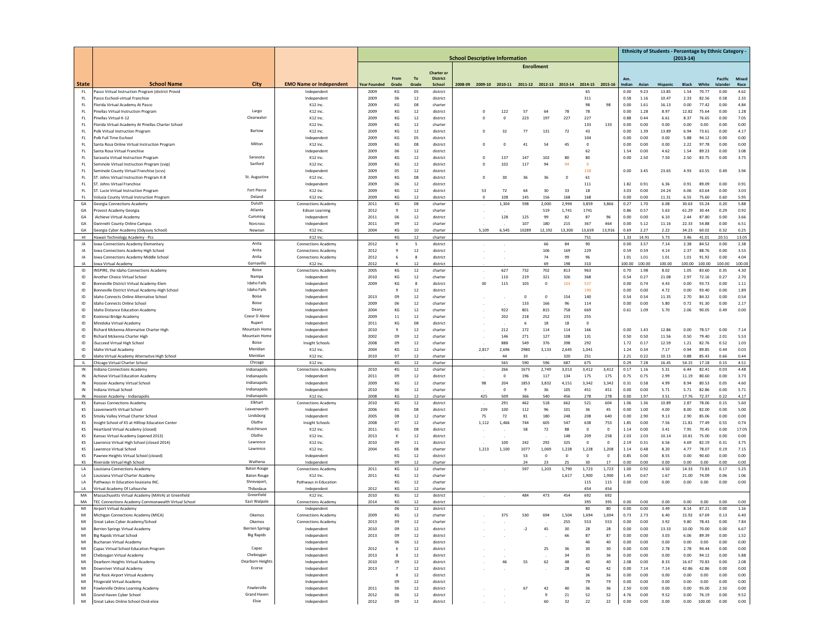|                     |                                                                                       |                                   | <b>School Descriptive Information</b>        |                             |                |                          |                      |  |          |                       |                                                         |                      |                |                |                |                |                | Ethnicity of Students - Percentage by Ethnic Category - |                      |                 |                  |                |
|---------------------|---------------------------------------------------------------------------------------|-----------------------------------|----------------------------------------------|-----------------------------|----------------|--------------------------|----------------------|--|----------|-----------------------|---------------------------------------------------------|----------------------|----------------|----------------|----------------|----------------|----------------|---------------------------------------------------------|----------------------|-----------------|------------------|----------------|
|                     |                                                                                       |                                   |                                              |                             |                |                          |                      |  |          |                       | <b>Enrollment</b>                                       |                      |                |                |                |                |                |                                                         | $(2013 - 14)$        |                 |                  |                |
|                     |                                                                                       |                                   |                                              |                             |                |                          | Charter or           |  |          |                       |                                                         |                      |                |                |                |                |                |                                                         |                      |                 |                  |                |
| <b>State</b>        | <b>School Name</b>                                                                    | <b>City</b>                       |                                              |                             | From<br>Grade  | <b>To</b>                | <b>District</b>      |  |          |                       |                                                         |                      |                |                |                | Am.            |                |                                                         |                      |                 | Pacific          | Mixer          |
| FL                  | Pasco Virtual Instruction Program (district Provid                                    |                                   | <b>EMO Name or Independent</b><br>Independen | <b>Year Founded</b><br>2009 | KG             | Grade<br>05              | School<br>district   |  |          |                       | 2008-09 2009-10 2010-11 2011-12 2012-13 2013-14 2014-15 |                      |                | 65             | 2015-16        | Indian<br>0.00 | Asian<br>9.23  | <b>Hispanic</b><br>13.85                                | <b>Black</b><br>1.54 | White<br>70.77  | Islander<br>0.00 | Race<br>4.62   |
| FL                  | Pasco Eschool-virtual Franchise                                                       |                                   | Independen                                   | 2009                        | 06             | 12                       | district             |  |          |                       |                                                         |                      |                | 311            |                | 0.58           | 1.16           | 10.47                                                   | 2.33                 | 82.56           | 0.58             | 2.33           |
| FL.                 | Florida Virtual Academy At Pasco                                                      |                                   | K12 Inc.                                     | 2009                        | KG             | $08\,$                   | charter              |  |          |                       |                                                         |                      |                | 98             | 98             | 0.00           | 1.61           | 16.13                                                   | 0.00                 | 77.42           | 0.00             | 4.84           |
| FL                  | Pinellas Virtual Instruction Program                                                  | Largo<br>Clearwater               | K12 Inc.                                     | 2009                        | KG             | 12                       | district             |  | $\Omega$ | 122                   | 57                                                      | 64                   | 78             | 78             |                | 0.00           | 1.28           | 8.97                                                    | 12.82                | 75.64           | 0.00             | 1.28           |
| FL<br>FL            | Pinellas Virtual K-12<br>Florida Virtual Academy At Pinellas Charter School           |                                   | K12 Inc.<br>K12 Inc.                         | 2009<br>2009                | KG<br>KG       | 12<br>12                 | district<br>charter  |  |          | $\overline{0}$        | 223                                                     | 197                  | 227            | 227<br>133     | 133            | 0.88<br>0.00   | 0.44<br>0.00   | 6.61<br>0.00                                            | 8.37<br>0.00         | 76.65<br>0.00   | 0.00<br>0.00     | 7.05<br>0.00   |
| FL                  | Polk Virtual Instruction Program                                                      | Bartow                            | K12 Inc.                                     | 2009                        | KG             | 12                       | district             |  | $\circ$  | 32                    | 77                                                      | 131                  | 72             | 43             |                | 0.00           | 1.39           | 13.89                                                   | 6.94                 | 73.61           | 0.00             | 4.17           |
| FL.                 | Polk Full Time Eschool                                                                |                                   | Independent                                  | 2009                        | KG             | 05                       | district             |  |          |                       |                                                         |                      |                | 104            |                | 0.00           | 0.00           | 0.00                                                    | 5.88                 | 94.12           | 0.00             | 0.00           |
| FL                  | Santa Rosa Online Virtual Instruction Program                                         | Milton                            | K12 Inc.                                     | 2009                        | KG             | 08                       | district             |  | $\Omega$ | $\mathbf 0$           | 41                                                      | 54                   | 45             | $\Omega$       |                | 0.00           | 0.00           | 0.00                                                    | 2.22                 | 97.78           | 0.00             | 0.00           |
| FL<br>FL            | Santa Rosa Virtual Franchise<br>Sarasota Virtual Instruction Program                  | Sarasota                          | Independen<br>K12 Inc.                       | 2009<br>2009                | 06<br>KG       | 12<br>12                 | district<br>district |  |          | 137                   | 147                                                     | 102                  | 80             | 62<br>80       |                | 1.54<br>0.00   | 0.00<br>2.50   | 4.62<br>7.50                                            | 1.54<br>2.50         | 89.23<br>83.75  | 0.00<br>0.00     | 3.08<br>3.75   |
| FL                  | Seminole Virtual Instruction Program (svip                                            | Sanford                           | K12 Inc.                                     | 2009                        | KG             | 12                       | district             |  | $\Omega$ | 102                   | 117                                                     | 94                   | 94             |                |                |                |                |                                                         |                      |                 |                  |                |
| FL                  | Seminole County Virtual Franchise (scvs)                                              |                                   | Independent                                  | 2009                        | 05             | 12                       | district             |  |          |                       |                                                         |                      |                | 158            |                | 0.00           | 3.45           | 23.65                                                   | 4.93                 | 63.55           | 0.49             | 3.94           |
| FL                  | ST. Johns Virtual Instruction Program K-8                                             | St. Augustine                     | K12 Inc.                                     | 2009                        | KG             | 08                       | district             |  | $\Omega$ | 30                    | 36                                                      | 36                   | $\bf{0}$       | 61             |                |                |                |                                                         |                      |                 |                  |                |
| FL<br>$\mathsf{FL}$ | ST. Johns Virtual Franchise<br>ST. Lucie Virtual Instruction Program                  | Fort Pierce                       | Independent<br>K12 Inc.                      | 2009<br>2009                | 06<br>KG       | $12\,$<br>12             | district<br>district |  | 53       | 72                    | 64                                                      | 30                   | 33             | 111<br>18      |                | 1.82<br>3.03   | 0.91<br>0.00   | 6.36<br>24.24                                           | 0.91<br>6.06         | 89.09<br>63.64  | 0.00<br>0.00     | 0.91<br>3.03   |
| FL.                 | Volusia County Virtual Instruction Program                                            | Deland                            | K12 Inc.                                     | 2009                        | KG             | 12                       | district             |  |          | 108                   | 145                                                     | 156                  | 168            | 168            |                | 0.00           | 0.00           | 11.31                                                   | 6.55                 | 75.60           | 0.60             | 5.95           |
| GA                  | Georgia Connections Academy                                                           | Duluth                            | Connections Academy                          | 2011                        | KG             | 08                       | charter              |  |          | 1,304                 | 598                                                     | 2,000                | 2,994          | 3,859          | 3,866          | 0.27           | 1.70           | 6.08                                                    | 30.63                | 55.24           | 0.20             | 5.88           |
| GA                  | Provost Academy Georgia                                                               | Atlanta                           | <b>Edison Learning</b>                       | 2012                        | 9              | 12                       | charter              |  |          |                       |                                                         | 519                  | 1,741          | 1741           |                | 0.86           | 0.57           | 5.63                                                    | 61.29                | 30.44           | 0.29             | 0.92           |
| GA<br>GA            | iAchieve Virtual Academy<br><b>Gwinnett County Online Campus</b>                      | Cumming<br>Norcross               | Independent<br>Independent                   | 2011<br>2011                | 06<br>09       | 12<br>12                 | district<br>charter  |  |          | 128                   | 125<br>107                                              | 99<br>180            | 82<br>215      | 87<br>367      | 96<br>464      | 0.00<br>0.00   | 0.00<br>5.12   | 6.10<br>11.16                                           | 2.44<br>22.33        | 87.80<br>54.88  | 0.00<br>0.00     | 3.66           |
| GA                  | Georgia Cyber Academy (Odyssey School)                                                | Newnan                            | K12 Inc                                      | 2004                        | KG             | 10                       | charter              |  | 5,109    | 6.545                 | 10289                                                   | 12,192               | 13,300         | 13.659         | 13,916         | 0.69           | 2.27           | 2.22                                                    | 34.23                | 60.02           | 0.32             | 6.51<br>0.25   |
| HI                  | Hawaii Technology Academy - Pcs                                                       |                                   | K12 Inc.                                     |                             | KG             | $12\,$                   | charter              |  |          |                       |                                                         |                      |                | 751            |                | 1.33           | 14.91          | 5.73                                                    | 3.46                 | 41.01           | 20.51            | 13.05          |
| IA                  | lowa Connections Academy Elementary                                                   | Anita                             | Connections Academy                          | 2012                        | к              | $\overline{\phantom{a}}$ | district             |  |          |                       |                                                         | 66                   | 84             | 90             |                | 0.00           | 3.57           | 7.14                                                    | 2.38                 | 84.52           | 0.00             | 2.38           |
| IA                  | Iowa Connections Academy High School                                                  | Anita                             | <b>Connections Academy</b>                   | 2012                        | 9              | 12                       | district             |  |          |                       |                                                         | 106                  | 169            | 229            |                | 0.59           | 0.59           | 4.14                                                    | 2.37                 | 88.76           | 0.00             | 3.55           |
| IA<br>IA            | Iowa Connections Academy Middle Schoo                                                 | Anita                             | Connections Academy                          | 2012                        | 6              | я<br>12                  | district             |  |          |                       |                                                         | 74<br>69             | 99             | 96             |                | 1.01           | 1.01           | 1.01                                                    | 1.01                 | 91.92           | 0.00             | 4.04           |
| ID                  | Iowa Virtual Academy<br>INSPIRE, the Idaho Connections Academy                        | Garnavillo<br>Boise               | K12 Inc.<br>Connections Academy              | 2012<br>2005                | KG             | 12                       | district<br>charter  |  |          | 627                   | 732                                                     | 702                  | 198<br>813     | 310<br>963     |                | 00.00<br>0.70  | 100.00<br>1.98 | 100.00<br>8.02                                          | 100.00<br>1.05       | 100.00<br>83.60 | 100.00<br>0.35   | 100.00<br>4.30 |
| ID                  | Another Choice Virtual School                                                         | Nampa                             | Independent                                  | 2010                        | KG             | 12                       | charter              |  |          | 110                   | 219                                                     | 321                  | 326            | 368            |                | 0.54           | 0.27           | 21.08                                                   | 2.97                 | 72.16           | 0.27             | 2.70           |
| ID                  | Bonneville District Virtual Academy-Elem                                              | <b>Idaho Falls</b>                | Independent                                  | 2009                        | KG             | -8                       | district             |  | 30       | 115                   | 103                                                     | $\mathbf 0$          | 103            | 527            |                | 0.00           | 0.74           | 4.43                                                    | 0.00                 | 93.73           | 0.00             | 1.11           |
| ID                  | Bonneville District Virtual Academy-High School                                       | <b>Idaho Falls</b>                | Independent                                  |                             | 9              | $12\,$                   | district             |  |          |                       |                                                         |                      |                | 190            |                | 0.00           | 0.00           | 4.72                                                    | 0.00                 | 93.40           | 0.00             | 1.89           |
| ID                  | daho Connects Online Alternative School                                               | Boise                             | Independent                                  | 2013                        | 09             | 12                       | charter              |  |          |                       | $\overline{0}$                                          | $\overline{0}$       | 154            | 140            |                | 0.54           | 0.54           | 11.35                                                   | 2.70                 | 84.32           | 0.00             | 0.54           |
| ID<br>ID            | daho Connects Online School<br>daho Distance Education Academy                        | Boise<br>Deary                    | Independent                                  | 2009<br>2004                | 06<br>KG       | 12<br>12                 | charter<br>charter   |  |          | 922                   | 133<br>801                                              | 166<br>815           | 96<br>758      | 114<br>669     |                | 0.00<br>0.61   | 0.00<br>1.09   | 5.80<br>5.70                                            | 0.72<br>2.06         | 91.30<br>90.05  | 0.00<br>0.49     | 2.17<br>0.00   |
| ID                  | Cootenai Bridge Academy                                                               | Coeur D Alene                     | Independent<br>Independent                   | 2009                        | $11\,$         | 12                       | charter              |  |          | 202                   | 218                                                     | 252                  | 233            | 255            |                |                |                |                                                         |                      |                 |                  |                |
| ID                  | Minidoka Virtual Academy                                                              | Rupert                            | Independent                                  | 2011                        | KG             | 08                       | district             |  |          |                       | 6                                                       | 18                   | 18             |                |                |                |                |                                                         |                      |                 |                  |                |
| ID                  | <b>Richard Mckenna Alternative Charter High</b>                                       | Mountain Home                     | Independent                                  | 2010                        | 9              | 12                       | charter              |  |          | 212                   | 172                                                     | 114                  | 114            | 166            |                | 0.00           | 1.43           | 12.86                                                   | 0.00                 | 78.57           | 0.00             | 7.14           |
| ID                  | Richard Mckenna Charter High                                                          | Mountain Home                     | Independent                                  | 2002                        | 09             | 12                       | charter              |  |          | 146                   | 271                                                     | 127                  | 108            | 131            |                | 0.50           | 0.50           | 11.56                                                   | 0.50                 | 79.40           | 2.01             | 5.53           |
| ID<br>ID            | Succeed Virtual High School<br>daho Virtual Academ                                    | Boise<br>Meridian                 | Insight Schools<br>K12 Inc.                  | 2008<br>2004                | 09<br>KG       | 12<br>12                 | charter<br>charter   |  | 2,817    | 888<br>2,696          | 549<br>2980                                             | 376<br>3,133         | 398<br>2,645   | 292<br>1,041   |                | 1.72<br>1.24   | 0.17<br>0.34   | 12.59<br>7.17                                           | 1.21<br>0.94         | 82.76<br>89.85  | 0.52<br>0.44     | 1.03<br>0.03   |
| ID                  | Idaho Virtual Academy Alternative High School                                         | Meridian                          | K12 Inc.                                     | 2010                        | 07             | 12                       | charter              |  |          | 44                    | 10                                                      |                      | 320            | 251            |                | 2.21           | 0.22           | 10.15                                                   | 0.88                 | 85.43           | 0.66             | 0.44           |
| IL.                 | Chicago Virtual Charter School                                                        | Chicago                           | K12 Inc.                                     |                             | KG             | 12                       | charter              |  |          | 565                   | 590                                                     | 596                  | 687            | 675            |                | 0.29           | 7.28           | 16.45                                                   | 54.15                | 17.18           | 0.15             | 4.51           |
| IN                  | Indiana Connections Academy                                                           | Indianapolis                      | <b>Connections Academ</b>                    | 2010                        | KG             | 12                       | charter              |  |          | 266                   | 1675                                                    | 2,749                | 3,013          | 3,412          | 3,412          | 0.17           | 1.16           | 5.31                                                    | 6.44                 | 82.41           | 0.03             | 4.48           |
| IN                  | <b>Achieve Virtual Education Academ</b>                                               | Indianapoli:                      | Independent                                  | 2011                        | 09             | 12                       | district             |  |          | $\mathbf 0$           | 196                                                     | 117                  | 134            | 175            | 175            | 0.75           | 0.75           | 2.99                                                    | 11.19                | 80.60           | 0.00             | 3.73           |
| IN<br>IN            | Hoosier Academy Virtual School<br>Indiana Virtual School                              | Indianapoli:<br>Indianapolis      | Independent<br>Independent                   | 2009<br>2010                | KG<br>06       | 12<br>12                 | charter<br>charter   |  | 98       | 204<br>$\overline{0}$ | 1853<br>q                                               | 3,832<br>36          | 4,151<br>105   | 3,342<br>451   | 3,342<br>451   | 0.31<br>0.00   | 0.58<br>0.00   | 4.99<br>5.71                                            | 8.94<br>5.71         | 80.53<br>82.86  | 0.05<br>0.00     | 4.60<br>5.71   |
| IN                  | Hoosier Academy - Indianapolis                                                        | Indianapolis                      | K12 Inc.                                     | 2008                        | KG             | 12                       | charter              |  | 425      | 509                   | 366                                                     | 540                  | 456            | 278            | 278            | 0.00           | 1.97           | 3.51                                                    | 17.76                | 72.37           | 0.22             | 4.17           |
| KS                  | Kansas Connections Academ                                                             | Elkhart                           | <b>Connections Academy</b>                   | 2010                        | KG             | $12\,$                   | district             |  |          | 291                   | 462                                                     | 518                  | 662            | 521            | 604            | 1.06           | 1.36           | 10.89                                                   | 2.87                 | 78.06           | 0.15             | 5.60           |
| KS                  | Leavenworth Virtual Schoo                                                             | Leavenworth                       | Independent                                  | 2006                        | KG             | $08\,$                   | district             |  | 239      | 100                   | 112                                                     | 96                   | 101            | 36             | 45             | 0.00           | 1.00           | 4.00                                                    | 8.00                 | 82.00           | 0.00             | 5.00           |
| KS                  | Smoky Valley Virtual Charter Schoo                                                    | Lindsborg                         | Independent                                  | 2005                        | 08             | 12                       | charter              |  | 75       | 72                    | 81                                                      | 180                  | 248            | 208            | 640            | 0.00           | 2.90           | 9.13                                                    | 2.90                 | 85.06           | 0.00             | 0.00           |
| KS<br>KS            | nsight School of KS at Hilltop Education Center<br>Heartland Virtual Academy (closed) | Olathe<br>Hutchinson              | Insight Schools<br>K12 Inc.                  | 2008<br>2011                | 07<br>KG       | 12<br>08                 | charter<br>district  |  | 1,112    | 1,466                 | 744<br>58                                               | 605<br>72            | 547<br>88      | 638<br>0       | 753<br>$\,0\,$ | 1.85<br>1.14   | 0.00<br>0.00   | 7.56<br>3.41                                            | 11.81<br>7.95        | 77.49<br>70.45  | 0.55<br>0.00     | 0.74<br>17.05  |
| KS                  | Kansas Virtual Academy (opened 2013)                                                  | Olathe                            | K12 Inc.                                     | 2013                        | K              | 12                       | district             |  |          |                       |                                                         |                      | 148            | 209            | 258            | 2.03           | 2.03           | 10.14                                                   | 10.81                | 75.00           | 0.00             | 0.00           |
| KS                  | Lawrence Virtual High School (closed 2014)                                            | Lawrence                          | K12 Inc.                                     | 2010                        | 09             | 11                       | district             |  |          | 100                   | 242                                                     | 292                  | 325            | $^{\circ}$     | $\overline{0}$ | 2.19           | 0.31           | 6.56                                                    | 4.69                 | 82.19           | 0.31             | 3.75           |
| κs                  | Lawrence Virtual School                                                               | Lawrence                          | K12 Inc.                                     | 2004                        | KG             | 08                       | charter              |  | 1,213    | 1,100                 | 1077                                                    | 1,069                | 1,228          | 1,228          | 1,208          | 1.14           | 0.48           | 8.20                                                    | 4.77                 | 78.07           | 0.19             | 7.15           |
| KS                  | Pawnee Heights Virtual School (closed)                                                |                                   | Independent                                  |                             | KG             | 12                       | district             |  |          |                       | 53                                                      | $\overline{0}$       | $\bf{0}$       | 0              | $\overline{0}$ | 0.85           | 0.00           | 8.55                                                    | 0.00                 | 90.60           | 0.00             | 0.00           |
| KS                  | Riverside Virtual High School                                                         | Wathena<br><b>Baton Rouge</b>     | Independen                                   | 2011                        | 09<br>KG       | 12<br>12                 | charter              |  |          |                       | 24<br>597                                               | 2:                   | 25<br>1.790    | 30             | 17<br>1.723    | 0.00<br>1.00   | 0.00<br>0.92   | 0.00<br>4.50                                            | 0.00<br>14.33        | 0.00<br>73.83   | 0.00<br>0.17     | 0.00           |
| LA<br>LA            | Louisiana Connections Academy<br>Louisiana Virtual Charter Academ                     | <b>Baton Rouge</b>                | <b>Connections Academy</b><br>K12 Inc.       | 2011                        | KG             | 12                       | charter<br>charter   |  |          |                       |                                                         | 1,203                | 1,617          | 1,723<br>1,900 | 1,900          | 1.45           | 0.67           | 1.67                                                    | 21.00                | 74.09           | 0.06             | 5.25<br>1.06   |
| LA                  | Pathways In Education-louisiana INC                                                   | Shreveport.                       | Pathways in Education                        |                             | KG             | 12                       | charter              |  |          |                       |                                                         |                      |                | 115            | 115            | 0.00           | 0.00           | 0.00                                                    | 0.00                 | 0.00            | 0.00             | 0.00           |
| LA                  | Virtual Academy Of Lafourche                                                          | Thibodaux                         | Independent                                  | 2012                        | KG             | 12                       | charter              |  |          |                       |                                                         |                      |                | 454            | 454            |                |                |                                                         |                      |                 |                  |                |
| MA                  | Massachusetts Virtual Academy (MAVA) at Greenfield                                    | Greenfield                        | K12 Inc.                                     | 2010                        | KG             | 12                       | district             |  |          |                       | 484                                                     | 473                  | 454            | 692            | 692            |                |                |                                                         |                      |                 |                  |                |
| MA                  | TEC Connections Academy Commonwealth Virtual School<br>Airport Virtual Academy        | East Walpole                      | <b>Connections Academy</b><br>Independent    | 2014                        | KG<br>06       | 12<br>12                 | district<br>district |  |          |                       |                                                         |                      |                | 395<br>80      | 395<br>80      | 0.00<br>0.00   | 0.00<br>0.00   | 0.00<br>3.49                                            | 0.00<br>8.14         | 0.00<br>87.21   | 0.00<br>0.00     | 0.00<br>1.16   |
| MI<br><b>MAL</b>    | lichiaan Cor                                                                          | Okemos                            |                                              | 2009                        | KG             |                          |                      |  |          | 375                   | 520                                                     | <b>COA</b>           | 1.504          | 1.694          | 1,694          |                |                |                                                         |                      |                 |                  |                |
| M                   | <b>Sreat Lakes Cyber Academy/School</b>                                               | Okemos                            | Connections Academy                          | 2013                        | 09             | 12                       | charter              |  |          |                       |                                                         |                      | 255            | 553            | 553            | 0.00           | 0.00           | 3.92                                                    | 9.80                 | 78.43           | 0.00             | 7.84           |
| MI                  | Berrien Springs Virtual Academy                                                       | <b>Berrien Springs</b>            | Independent                                  | 2010                        | 09             | 12                       | district             |  |          |                       | $-2$                                                    | 45                   | 30             | 28             | 28             | 0.00           | 0.00           | 13.33                                                   | 10.00                | 70.00           | 0.00             | 6.67           |
| MI                  | <b>Big Rapids Virtual School</b>                                                      | <b>Big Rapids</b>                 | Independent                                  | 2013                        | 09             | 12                       | district             |  |          |                       |                                                         |                      | 66             | 87             | 87             | 0.00           | 0.00           | 3.03                                                    | 6.06                 | 89.39           | 0.00             | 1.52           |
| M                   | <b>Buchanan Virtual Academy</b>                                                       |                                   | Independent                                  |                             | 06             | 12                       | district             |  |          |                       |                                                         |                      |                | 40             | 40             | 0.00           | 0.00           | 0.00                                                    | 0.00                 | 0.00            | 0.00             | 0.00           |
| M<br>MI             | Capac Virtual School Education Program<br>Cheboygan Virtual Academy                   | Capac<br>Cheboygan                | Independent<br>Independent                   | 2012<br>2013                | 6<br>8         | 12<br>12                 | district<br>district |  |          |                       |                                                         | 25                   | 36<br>34       | 30<br>35       | 30<br>36       | 0.00<br>0.00   | 0.00<br>0.00   | 2.78<br>0.00                                            | 2.78<br>0.00         | 94.44<br>94.12  | 0.00<br>0.00     | 0.00<br>5.88   |
| MI                  | Dearborn Heights Virtual Academy                                                      | Dearborn Heights                  | Independent                                  | 2010                        | 09             | 12                       | district             |  |          | 46                    | 55                                                      | 62                   | 48             | 40             | 40             | 2.08           | 0.00           | 8.33                                                    | 16.67                | 70.83           | 0.00             | 2.08           |
| MI                  | Jownriver Virtual Academy                                                             | Ecorse                            | Independent                                  | 2013                        | $\overline{7}$ | 12                       | district             |  |          |                       |                                                         |                      | 28             | 42             | 42             | 0.00           | 7.14           | 7.14                                                    | 42.86                | 42.86           | 0.00             | 0.00           |
| M                   | Flat Rock Airport Virtual Academy                                                     |                                   | Independent                                  |                             | 8              | 12                       | district             |  |          |                       |                                                         |                      |                | 36             | 36             | 0.00           | 0.00           | 0.00                                                    | 0.00                 | 0.00            | 0.00             | 0.00           |
| MI                  | Fitzgerald Virtual Academy                                                            |                                   | Independent                                  |                             | 09             | 12                       | district             |  |          |                       |                                                         |                      |                | 79             | 79             | 0.00           | 0.00           | 0.00                                                    | 0.00                 | 0.00            | 0.00             | 0.00           |
| MI<br>MI            | Fowlerville Online Learning Academy<br>Grand Haven Cyber School                       | Fowlerville<br><b>Grand Haven</b> | Independent<br>Independent                   | 2011<br>2012                | 06<br>06       | 12<br>12                 | district<br>district |  |          |                       | 67                                                      | 42<br>$\overline{9}$ | 40<br>$\bf 21$ | 36<br>52       | 36<br>52       | 2.50<br>4.76   | 0.00<br>0.00   | 0.00<br>9.52                                            | 0.00<br>0.00         | 95.00<br>76.19  | 2.50<br>0.00     | 0.00<br>9.52   |
| MI                  | Great Lakes Online School-Ovid-elsie                                                  | Elsie                             | Independent                                  | 2012                        | 09             | 12                       | district             |  |          |                       |                                                         | 60                   | 32             | 22             | 22             | 0.00           | 0.00           | 0.00                                                    | 0.00                 | 100.00          | 0.00             | 0.00           |
|                     |                                                                                       |                                   |                                              |                             |                |                          |                      |  |          |                       |                                                         |                      |                |                |                |                |                |                                                         |                      |                 |                  |                |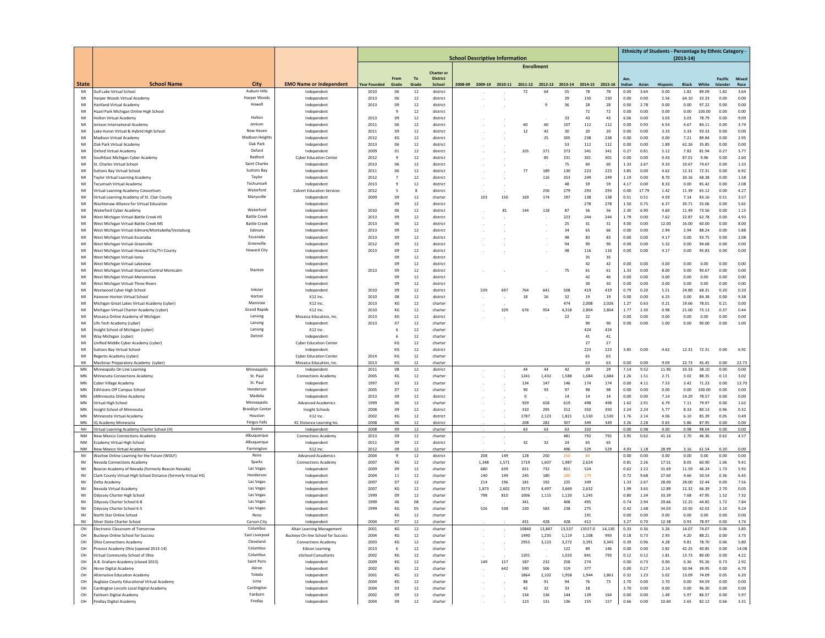|                 |                                                                                       |                                            |                                                          | <b>School Descriptive Information</b> |          |                    |                                      |  |                         |              |                   |                |                |                |              |              |               | Ethnicity of Students - Percentage by Ethnic Category - | $(2013-14)$    |                 |              |              |
|-----------------|---------------------------------------------------------------------------------------|--------------------------------------------|----------------------------------------------------------|---------------------------------------|----------|--------------------|--------------------------------------|--|-------------------------|--------------|-------------------|----------------|----------------|----------------|--------------|--------------|---------------|---------------------------------------------------------|----------------|-----------------|--------------|--------------|
|                 |                                                                                       |                                            |                                                          |                                       |          |                    |                                      |  |                         |              | <b>Enrollment</b> |                |                |                |              |              |               |                                                         |                |                 |              |              |
|                 |                                                                                       |                                            |                                                          |                                       | From     | To                 | <b>Charter or</b><br><b>District</b> |  |                         |              |                   |                |                |                |              | Am.          |               |                                                         |                |                 | Pacific      | Mixeo        |
| <b>State</b>    | <b>School Name</b>                                                                    | City                                       | <b>EMO Name or Independent</b>                           | <b>Year Founded</b>                   | Grade    | Grade              | School                               |  | 2008-09 2009-10 2010-11 |              | 2011-12 2012-13   |                | 2013-14        | 2014-15        | 2015-16      | Indian       | Asian         | Hispanic                                                | <b>Black</b>   | White           | Islander     | Race         |
| MI<br>MI        | Gull Lake Virtual School<br>Harper Woods Virtual Academy                              | Auburn Hills<br>Harper Woods               | Independer<br>Independent                                | 2010<br>2013                          | 06<br>06 | 12<br>12           | district<br>district                 |  |                         |              | 72                | 64             | 55<br>39       | 78<br>150      | 78<br>150    | 0.00<br>0.00 | 3.64<br>0.00  | 0.00<br>2.56                                            | 1.82<br>64.10  | 89.09<br>33.33  | 1.82<br>0.00 | 3.64<br>0.00 |
| MI              | <b>Hartland Virtual Academy</b>                                                       | Howell                                     | Independent                                              | 2013                                  | 09       | 12                 | district                             |  |                         |              |                   | q              | 36             | 28             | 28           | 0.00         | 2.78          | 0.00                                                    | 0.00           | 97.22           | 0.00         | 0.00         |
| MI              | Hazel Park Michigan Online High Schoo                                                 |                                            | Independent                                              |                                       | q        | 12                 | district                             |  |                         |              |                   |                |                | 72             | 72           | 0.00         | 0.00          | 0.00                                                    | 0.00           | 100.00          | 0.00         | 0.00         |
| MI<br>MI        | <b>Holton Virtual Academ</b>                                                          | Holton<br>Jenison                          | Independent                                              | 2013                                  | 09<br>06 | $12\,$             | district                             |  |                         |              | 60                | 60             | 33             | 43             | 43           | 6.06         | 0.00<br>0.93  | 3.03                                                    | 3.03           | 78.79           | 0.00         | 9.09<br>3.74 |
| MI              | enison International Academy<br>ake Huron Virtual & Hybrid High School                | New Haver                                  | Independent<br>Independent                               | 2011<br>2011                          | 09       | 12<br>12           | district<br>district                 |  |                         |              | 12                | 42             | 107<br>30      | 112<br>20      | 112<br>20    | 0.00<br>0.00 | 0.00          | 6.54<br>3.33                                            | 4.67<br>3.33   | 84.11<br>93.33  | 0.00<br>0.00 | 0.00         |
| MI              | <b>Madison Virtual Academy</b>                                                        | Madison Heights                            | Independent                                              | 2012                                  | KG       | 12                 | district                             |  |                         |              |                   | 25             | 305            | 238            | 238          | 0.00         | 0.00          | 0.00                                                    | 7.21           | 89.84           | 0.00         | 2.95         |
| MI              | Oak Park Virtual Academy                                                              | Oak Park                                   | Independent                                              | 2013                                  | 06       | 12                 | district                             |  |                         |              |                   |                | 53             | 112            | 112          | 0.00         | 0.00          | 1.89                                                    | 62.26          | 35.85           | 0.00         | 0.00         |
| MI<br>MI        | Oxford Virtual Academy<br>SouthEast Michigan Cyber Academy                            | Oxford<br>Redford                          | Independent<br><b>Cyber Education Center</b>             | 2009<br>2012                          | 01<br>9  | 12<br>12           | district<br>district                 |  |                         |              | 105               | 371<br>85      | 373<br>231     | 341<br>301     | 341<br>301   | 0.27<br>0.00 | 0.81<br>0.00  | 5.12<br>0.43                                            | 7.82<br>87.01  | 81.94<br>9.96   | 0.27<br>0.00 | 3.77<br>2.60 |
| MI              | St. Charles Virtual School                                                            | Saint Charles                              | Independent                                              | 2013                                  | 06       | 12                 | district                             |  |                         |              |                   |                | 75             | 60             | 60           | 1.33         | 2.67          | 9.33                                                    | 10.67          | 74.67           | 0.00         | 1.33         |
| MI              | <b>Suttons Bay Virtual School</b>                                                     | Suttons Bay                                | Independent                                              | 2011                                  | 06       | 12                 | district                             |  |                         |              | 77                | 189            | 130            | 223            | 223          | 3.85         | 0.00          | 4.62                                                    | 12.31          | 72.31           | 0.00         | 6.92         |
| MI              | <b>Faylor Virtual Learning Academy</b>                                                | Taylor                                     | Independent                                              | 2012                                  | 7        | $12\,$             | district                             |  |                         |              |                   | 116            | 253            | 249            | 249          | 1.19         | 0.00          | 8.70                                                    | 20.16          | 68.38           | 0.00         | 1.58         |
| MI<br>MI        | Fecumseh Virtual Academy<br>Virtual Learning Academy Consortium                       | Techumseh<br>Waterford                     | Independent<br><b>Calvert Education Services</b>         | 2013<br>2012                          | 9<br>5   | 12<br>$\mathbf{R}$ | district<br>district                 |  |                         |              |                   | 256            | 48<br>279      | 59<br>293      | 59<br>293    | 4.17<br>0.00 | 0.00<br>17.79 | 8.33<br>1.42                                            | 0.00<br>11.39  | 85.42<br>65.12  | 0.00<br>0.00 | 2.08<br>4.27 |
| MI              | Virtual Learning Academy of St. Clair County                                          | Marysville                                 | Independent                                              | 2009                                  | 09       | 12                 | charter                              |  | 103                     | 150          | 169               | 174            | 197            | 138            | 138          | 0.51         | 0.51          | 4.59                                                    | 7.14           | 83.16           | 0.51         | 3.57         |
| MI              | <b>Nashtenaw Alliance for Virtual Education</b>                                       |                                            | Independen                                               |                                       | 09       | 12                 | district                             |  |                         |              |                   |                |                | 278            | 278          | 1.50         | 0.75          | 6.37                                                    | 30.71          | 55.06           | 0.00         | 5.62         |
| MI              | Waterford Cyber Academy                                                               | Waterford                                  | Independent                                              | 2010                                  | 06       | 12                 | district                             |  |                         | 81           | 144               | 118            | 87             | 56             | 56           | 2.30         | 6.90          | 4.60                                                    | 11.49          | 73.56           | 0.00         | 1.15         |
| MI<br>MI        | West Michigan Virtual-Battle Creek HS<br><b>Nest Michigan Virtual-Battle Creek MS</b> | <b>Battle Creek</b><br><b>Battle Creek</b> | Independent<br>Independent                               | 2013<br>2013                          | 09<br>06 | 12<br>12           | district<br>district                 |  |                         |              |                   |                | 223<br>25      | 244<br>31      | 244          | 1.79<br>4.00 | 0.00<br>0.00  | 7.62<br>12.00                                           | 22.87<br>16.00 | 62.78<br>60.00  | 0.00<br>0.00 | 4.93<br>8.00 |
| MI              | West Michigan Virtual-Edmore/Montabella/Vestaburg                                     | Edmore                                     | Independent                                              | 2013                                  | 09       | $12\,$             | district                             |  |                         |              |                   |                | 34             | 65             | 31<br>66     | 0.00         | 0.00          | 2.94                                                    | 2.94           | 88.24           | 0.00         | 5.88         |
| MI              | <b>Nest Michigan Virtual-Escanaba</b>                                                 | Escanaba                                   | Independent                                              | 2013                                  | 09       | 12                 | district                             |  |                         |              |                   |                | 48             | 83             | 83           | 0.00         | 0.00          | 4.17                                                    | 0.00           | 93.75           | 0.00         | 2.08         |
| MI              | <b>Nest Michigan Virtual-Greenville</b>                                               | Greenville                                 | Independent                                              | 2012                                  | 09       | 12                 | district                             |  |                         |              |                   |                | 94             | 90             | 90           | 0.00         | 0.00          | 5.32                                                    | 0.00           | 94.68           | 0.00         | 0.00         |
| MI              | West Michigan Virtual-Howard City/Tri County                                          | <b>Howard City</b>                         | Independent                                              | 2013                                  | 09       | 12                 | district                             |  |                         |              |                   |                | 48             | 116<br>35      | 116          | 0.00         | 0.00          | 4.17                                                    | 0.00           | 95.83           | 0.00         | 0.00         |
| MI<br>MI        | <b>Nest Michigan Virtual-Ionia</b><br>West Michigan Virtual-Lakeview                  |                                            | Independent<br>Independent                               |                                       | 09<br>09 | $12\,$<br>12       | district<br>district                 |  |                         |              |                   |                |                | 42             | 35<br>42     | 0.00         | 0.00          | 0.00                                                    | 0.00           | 0.00            | 0.00         | 0.00         |
| MI              | West Michigan Virtual-Stanton/Central Montcalm                                        | Stanton                                    | Independent                                              | 2013                                  | 09       | 12                 | district                             |  |                         |              |                   |                | 75             | 61             | 61           | 1.33         | 0.00          | 8.00                                                    | 0.00           | 90.67           | 0.00         | 0.00         |
| MI              | West Michigan Virtual-Menominee                                                       |                                            | Independent                                              |                                       | 09       | 12                 | district                             |  |                         |              |                   |                |                | 42             | 46           | 0.00         | 0.00          | 0.00                                                    | 0.00           | 0.00            | 0.00         | 0.00         |
| MI              | West Michigan Virtual-Three Rivers                                                    | Inkster                                    | Independent                                              |                                       | 09       | $12\,$             | district                             |  |                         |              |                   |                |                | 30             | 30           | 0.00         | 0.00          | 0.00                                                    | 0.00           | 0.00            | 0.00         | 0.00         |
| MI<br>MI        | <b>Nestwood Cyber High School</b><br>Hanover-Horton Virtual Schoo                     | Horton                                     | Independent<br>K12 Inc.                                  | 2010<br>2010                          | 09<br>08 | $12\,$<br>12       | district<br>district                 |  | 539                     | 697          | 764<br>18         | 641<br>26      | 508<br>32      | 419<br>19      | 419<br>19    | 0.79<br>0.00 | 0.20<br>0.00  | 5.51<br>6.25                                            | 24.80<br>0.00  | 68.31<br>84.38  | 0.20<br>0.00 | 0.20<br>9.38 |
| MI              | Michigan Great Lakes Virtual Academy (cyber)                                          | Manistee                                   | K12 Inc.                                                 | 2013                                  | KG       | 12                 | charter                              |  |                         |              |                   |                | 474            | 2,008          | 2,026        | 1.27         | 0.63          | 0.21                                                    | 19.66          | 78.01           | 0.21         | 0.00         |
| MI              | Michigan Virtual Charter Academy (cyber)                                              | <b>Grand Rapids</b>                        | K12 Inc.                                                 | 2010                                  | KG       | 12                 | charter                              |  |                         | 329          | 676               | 954            | 4,318          | 2,804          | 2,804        | 1.77         | 2.30          | 0.98                                                    | 21.00          | 73.13           | 0.37         | 0.44         |
| MI              | Mosaica Online Academy of Michigan                                                    | Lansing<br>Lansing                         | Mosaica Education, Inc.                                  | 2013                                  | KG       | 12                 | district                             |  |                         |              |                   |                | 22             | 22             |              | 0.00         | 0.00          | 0.00                                                    | 0.00           | 0.00            | 0.00         | 0.00         |
| MI<br>MI        | Life Tech Academy (cyber)<br>nsight School of Michigan (cyber)                        | Lansing                                    | Independent<br>K12 Inc.                                  | 2013                                  | 07<br>6  | 12<br>12           | charter<br>charter                   |  |                         |              |                   |                |                | 90<br>424      | 90<br>424    | 0.00         | 0.00          | 5.00                                                    | 0.00           | 90.00           | 0.00         | 5.00         |
| MI              | Way Michigan (cyber)                                                                  | Detroit                                    | Independent                                              |                                       | 6        | 12                 | charter                              |  |                         |              |                   |                |                | 41             | 41           |              |               |                                                         |                |                 |              |              |
| MI              | Jnified Middle Cyber Academy (cyber)                                                  |                                            | <b>Cyber Education Center</b>                            |                                       | KG       | $12\,$             | charter                              |  |                         |              |                   |                |                | 27             | 27           |              |               |                                                         |                |                 |              |              |
| MI              | <b>Suttons Bay Virtual School</b>                                                     |                                            | Independent                                              |                                       | KG       | 12                 | district                             |  |                         |              |                   |                |                | 223            | 223          | 3.85         | 0.00          | 4.62                                                    | 12.31          | 72.31           | 0.00         | 6.92         |
| MI<br>MI        | egents Academy (cyber)<br>Mackinac Preparatory Academy (cyber)                        |                                            | <b>Cyber Education Center</b><br>Mosaica Education, Inc. | 2014<br>2013                          | KG<br>KG | 12<br>12           | charter<br>charter                   |  |                         |              |                   |                |                | 65<br>63       | 65<br>63     | 0.00         | 0.00          | 9.09                                                    | 22.73          | 45.45           | 0.00         | 22.73        |
| MN              | Minneapolis On Line Learning                                                          | Minneapolis                                | Independent                                              | 2011                                  | 08       | 12                 | district                             |  |                         |              | 44                | 44             | 42             | 29             | 29           | 7.14         | 9.52          | 11.90                                                   | 33.33          | 38.10           | 0.00         | 0.00         |
| MN              | <b>Minnesota Connections Academy</b>                                                  | St. Paul                                   | <b>Connections Academy</b>                               | 2005                                  | KG       | 12                 | charter                              |  |                         |              | 1241              | 1,432          | 1,588          | 1,684          | 1,684        | 1.26         | 1.51          | 2.71                                                    | 3.02           | 88.35           | 0.13         | 3.02         |
| MN              | <b>Cyber Village Academy</b>                                                          | St. Paul<br>Henderson                      | Independent                                              | 1997                                  | 03       | 12                 | charter                              |  |                         |              | 134               | 147            | 146            | 174            | 174          | 0.00         | 4.11          | 7.53                                                    | 3.42           | 71.23           | 0.00         | 13.70        |
| MN<br>MN        | EdVisions Off Campus School<br>Minnesota Online Academ                                | Madelia                                    | Independent<br>Independent                               | 2005<br>2013                          | 07<br>09 | 12<br>$12\,$       | charter<br>district                  |  |                         |              | 90<br>$\bf{0}$    | 93             | 97<br>$14\,$   | 98<br>14       | 98<br>$14\,$ | 0.00<br>0.00 | 0.00<br>0.00  | 0.00<br>7.14                                            | 0.00<br>14.29  | 100.00<br>78.57 | 0.00<br>0.00 | 0.00<br>0.00 |
| MN              | <b>Virtual High School</b>                                                            | Minneapolis                                | <b>Advanced Academics</b>                                | 1999                                  | 06       | 12                 | charter                              |  |                         |              | 929               | 658            | 619            | 498            | 498          | 1.62         | 2.91          | 6.79                                                    | 7.11           | 79.97           | 0.00         | 1.62         |
| MN              | Insight School of Minnesota                                                           | <b>Brooklyn Center</b>                     | <b>Insight Schools</b>                                   | 2008                                  | 09       | 12                 | district                             |  |                         |              | 310               | 295            | 312            | 350            | 350          | 2.24         | 2.24          | 5.77                                                    | 8.33           | 80.13           | 0.96         | 0.32         |
| MN              | Minnesota Virtual Academy                                                             | Houston                                    | K12 Inc.                                                 | 2002                                  | KG       | 12                 | district                             |  |                         |              | 1787              | 2,123          | 1,821          | 1,530          | 1,530        | 1.76         | 2.14          | 4.06                                                    | 6.10           | 85.39           | 0.05         | 0.49         |
| MN<br><b>NH</b> | iQ Academy Minnesota<br>Virtual Learning Academy Charter School (H)                   | <b>Fergus Falls</b><br>Exeter              | <b>KC Distance Learning Inc</b><br>Independent           | 2008<br>2008                          | 06<br>09 | 12<br>12           | district<br>charter                  |  |                         |              | 208<br>63         | 282<br>63      | 307<br>63      | 349<br>102     | 349          | 3.26<br>0.00 | 2.28<br>0.98  | 0.65<br>0.00                                            | 5.86<br>0.98   | 87.95<br>98.04  | 0.00<br>0.00 | 0.00<br>0.00 |
| <b>NM</b>       | New Mexico Connections Academy                                                        | Albuquerque                                | <b>Connections Academy</b>                               | 2013                                  | 09       | 12                 | charter                              |  |                         |              |                   |                | 481            | 792            | 792          | 3.95         | 0.62          | 41.16                                                   | 2.70           | 46.36           | 0.62         | 4.57         |
| NM              | Ecademy Virtual High School                                                           | Albuquerque                                | Independent                                              | 2011                                  | 09       | 12                 | district                             |  |                         |              | 32                | 32             | 24             | 65             | 65           |              |               |                                                         |                |                 |              |              |
| NM              | lew Mexico Virtual Acader                                                             | Farmington<br>Reno                         | K12 Inc                                                  | 2012                                  | 09       | 12                 | charter                              |  |                         |              |                   |                | 496            | 529            | 529          | 4.93         | 1.18          | 28.99                                                   | 3.16           | 61.54           | 0.20         | 0.00         |
| NV<br><b>NV</b> | <b>Nashoe Online Learning for the Future (WOLF)</b><br>Nevada Connections Academy     | Sparks                                     | <b>Advanced Academics</b><br><b>Connections Academy</b>  | 2004<br>2007                          | 9<br>KG  | 12<br>12           | district<br>charter                  |  | 208<br>1.348            | 149<br>1.571 | 128<br>1719       | 250<br>1.607   | 250<br>1.987   | 84<br>2.624    |              | 0.00<br>0.81 | 0.00<br>2.26  | 0.00<br>17.51                                           | 0.00<br>8.05   | 0.00<br>60.90   | 0.00<br>1.06 | 0.00<br>9.41 |
| NV              | Beacon Academy of Nevada (formerly Beacon Nevada)                                     | Las Vegas                                  | Independent                                              | 2009                                  | 09       | 12                 | charter                              |  | 680                     | 639          | 651               | 732            | 811            | 524            |              | 0.62         | 2.22          | 31.69                                                   | 11.59          | 46.24           | 1.73         | 5.92         |
| NV              | Clark County Virtual High School Distance (formerly Virtual HS)                       | Henderson                                  | Independent                                              | 2004                                  | 11       | $12\,$             | charter                              |  | 140                     | 149          | 245               | 180            | 180            | 279            |              | 0.72         | 9.68          | 27.60                                                   | 4.66           | 50.54           | 0.36         | 6.45         |
| NV              | Delta Academy                                                                         | Las Vegas                                  | Independent                                              | 2007                                  | 07       | 12                 | charter                              |  | 214                     | 196          | 181               | 192            | 225            | 349            |              | 1.33         | 2.67          | 28.00                                                   | 28.00          | 32.44           | 0.00         | 7.56         |
| <b>NV</b><br>N٧ | Nevada Virtual Academy<br>Odyssey Charter High School                                 | Las Vegas<br>Las Vegas                     | Independent<br>Independent                               | 2007<br>1999                          | KG<br>09 | 12<br>12           | charter<br>charter                   |  | 1.873<br>798            | 2.602<br>810 | 3573<br>1006      | 4.497<br>1,115 | 3.669<br>1,120 | 2.632<br>1,245 |              | 1.99<br>0.80 | 3.65<br>1.34  | 12.89<br>33.39                                          | 12.32<br>7.68  | 66.39<br>47.95  | 2.70<br>1.52 | 0.05<br>7.32 |
| NV              | Odyssey Charter School 6-8                                                            | Las Vegas                                  | Independent                                              | 1999                                  | 06       | 08                 | charter                              |  |                         |              | 341               |                | 408            | 495            |              | 0.74         | 2.94          | 29.66                                                   | 12.25          | 44.85           | 1.72         | 7.84         |
| NV              | Odyssey Charter School K-5                                                            | Las Vegas                                  | Independent                                              | 1999                                  | KG       | 05                 | charter                              |  | 526                     | 538          | 230               | 583            | 238            | 275            |              | 0.42         | 1.68          | 34.03                                                   | 10.50          | 42.02           | 2.10         | 9.24         |
| NV              | rth Star Online Schoo                                                                 |                                            | Independent                                              |                                       |          | -12                | charte                               |  |                         |              |                   |                |                | 191            |              | u.uu         | <b>U.UL</b>   | u.uu                                                    | 0.00           | o.ou            | 0.00         | 0.00         |
| <b>NV</b><br>OH | ilver State Charter School<br>Electronic Classroom of Tomorrow                        | Carson City<br>Columbus                    | Independent<br>Altair Learning Management                | 2004<br>2001                          | 07<br>KG | 12<br>12           | charter<br>charter                   |  |                         |              | 431<br>10840      | 428<br>13,847  | 428<br>13,537  | 412<br>13537.0 | 14,130       | 3.27<br>0.33 | 0.70<br>0.36  | 12.38<br>5.26                                           | 0.93<br>14.07  | 78.97<br>74.07  | 0.00<br>0.06 | 3.74<br>5.85 |
| OH              | <b>Buckeye Online School for Success</b>                                              | East Liverpool                             | Buckeye On-line School for Success                       | 2004                                  | KG       | 12                 | charter                              |  |                         |              | 1490              | 1,235          | 1,119          | 1,108          | 993          | 0.18         | 0.73          | 2.93                                                    | 4.20           | 88.21           | 0.00         | 3.75         |
| OH              | Ohio Connections Academy                                                              | Cleveland                                  | <b>Connections Academy</b>                               | 2003                                  | KG       | 12                 | charter                              |  |                         |              | 2955              | 3,123          | 3,272          | 3,391          | 3,345        | 0.39         | 0.96          | 4.28                                                    | 9.81           | 78.70           | 0.06         | 5.80         |
| OH              | Provost Academy Ohio (opened 2013-14)                                                 | Columbus                                   | <b>Edison Learning</b>                                   | 2013                                  | 6        | 12                 | charter                              |  |                         |              |                   |                | 122            | 89             | 146          | 0.00         | 0.00          | 2.82                                                    | 42.25          | 40.85           | 0.00         | 14.08        |
| OH<br>OH        | Virtual Community School of Ohio<br>A.B. Graham Academy (closed 2015)                 | Columbus<br>Saint Paris                    | eSchool Consultants<br>Independent                       | 2002<br>2009                          | KG<br>KG | 12<br>12           | charter<br>charter                   |  | 149                     | 157          | 1201<br>187       | 232            | 1,033<br>258   | 841<br>274     | 793          | 0.12<br>0.00 | 0.12<br>0.73  | 1.81<br>0.00                                            | 13.73<br>0.36  | 80.00<br>95.26  | 0.00<br>0.73 | 4.22<br>2.92 |
| OH              | Akron Digital Academy                                                                 | Akron                                      | Independent                                              | 2002                                  | KG       | 12                 | charter                              |  |                         | 642          | 590               | 506            | 519            | 377            |              | 0.00         | 0.27          | 2.14                                                    | 50.94          | 39.95           | 0.00         | 6.70         |
| OH              | Alternative Education Academy                                                         | Toledo                                     | Independent                                              | 2001                                  | KG       | 12                 | charter                              |  |                         |              | 1864              | 2.102          | 1.958          | 1.944          | 1.861        | 0.32         | 1.23          | 5.02                                                    | 13.09          | 74.09           | 0.05         | 6.20         |
| OH              | Auglaize County Educational Virtual Academy                                           | Lima                                       | Independent                                              | 2004                                  | KG       | 12                 | charter                              |  |                         |              | 88                | 91             | 94             | 76             | 73           | 2.70         | 0.00          | 2.70                                                    | 0.00           | 94.59           | 0.00         | 0.00         |
| OH<br>OH        | Cardington Lincoln Local Digital Academy<br>airborn Digital Academy                   | Cardington<br>Fairborn                     | Independent<br>Independent                               | 2004<br>2002                          | 03<br>09 | $12\,$<br>12       | charter<br>charter                   |  |                         |              | 42<br>134         | 32<br>136      | 33<br>144      | 18<br>139      | 164          | 3.70<br>0.00 | 0.00<br>0.00  | 0.00<br>1.49                                            | 0.00<br>5.97   | 96.30<br>86.57  | 0.00<br>0.00 | 0.00<br>5.97 |
| OH              | <b>Findlay Digital Academy</b>                                                        | Findlay                                    | Independent                                              | 2004                                  | 09       | 12                 | charter                              |  |                         |              | 123               | 131            | 136            | 155            | 157          | 0.66         | 0.00          | 10.60                                                   | 2.65           | 82.12           | 0.66         | 3.31         |
|                 |                                                                                       |                                            |                                                          |                                       |          |                    |                                      |  |                         |              |                   |                |                |                |              |              |               |                                                         |                |                 |              |              |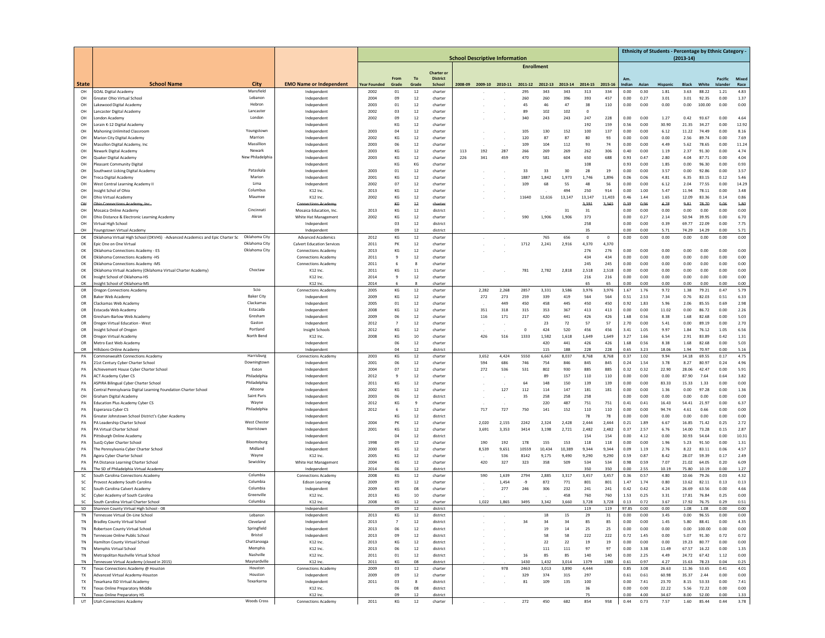|                        |                                                                                                         |                                |                                                                |                     |                |             |                           |     |                                       |            |                   |              |              |                      |                         |               |              | Ethnicity of Students - Percentage by Ethnic Category - |                |                |                     |               |
|------------------------|---------------------------------------------------------------------------------------------------------|--------------------------------|----------------------------------------------------------------|---------------------|----------------|-------------|---------------------------|-----|---------------------------------------|------------|-------------------|--------------|--------------|----------------------|-------------------------|---------------|--------------|---------------------------------------------------------|----------------|----------------|---------------------|---------------|
|                        |                                                                                                         |                                |                                                                |                     |                |             |                           |     | <b>School Descriptive Information</b> |            | <b>Enrollment</b> |              |              |                      |                         |               |              |                                                         | $(2013-14)$    |                |                     |               |
|                        |                                                                                                         |                                |                                                                |                     |                |             | <b>Charter or</b>         |     |                                       |            |                   |              |              |                      |                         |               |              |                                                         |                |                |                     |               |
| <b>State</b>           | <b>School Name</b>                                                                                      | City                           | <b>EMO Name or Independent</b>                                 | <b>Year Founded</b> | From<br>Grade  | To<br>Grade | <b>District</b><br>School |     | 2008-09 2009-10 2010-11               |            | 2011-12           | 2012-13      | 2013-14      | 2014-15              | 2015-16                 | Am.<br>ndian  | Asiar        | Hispanic                                                | <b>Black</b>   | White          | Pacific<br>Islander | Mixer<br>Race |
| OH                     | <b>GOAL Digital Academy</b>                                                                             | Mansfield                      | Independent                                                    | 2002                | $_{01}$        | 12          | charter                   |     |                                       |            | 295               | 343          | 343          | 313                  | 334                     | 0.00          | 0.30         | 1.81                                                    | 3.63           | 88.22          | 1.21                | 4.83          |
| OH                     | Greater Ohio Virtual School                                                                             | Lebanon                        | Independent                                                    | 2004                | 09             | 12          | charter                   |     |                                       |            | 260               | 260          | 396          | 393                  | 457                     | 0.00          | 0.27         | 3.01                                                    | 3.01           | 92.35          | 0.00                | 1.37          |
| OH                     | Lakewood Digital Academy                                                                                | Hebron<br>Lancaster            | Independent                                                    | 2003                | 01             | 12          | charter                   |     |                                       |            | 45                | 46           | 47           | 38<br>$\overline{0}$ | 110                     | 0.00          | 0.00         | 0.00                                                    | 0.00           | 100.00         | 0.00                | 0.00          |
| OH<br>OH               | ancaster Digital Academy<br>ondon Academy                                                               | London                         | Independent<br>Independent                                     | 2002<br>2002        | 03<br>09       | 12<br>12    | charte<br>charter         |     |                                       |            | 89<br>340         | 102<br>243   | 102<br>243   | 247                  | 228                     | 0.00          | 0.00         | 1.27                                                    | 0.42           | 93.67          | 0.00                | 4.64          |
| OH                     | Lorain K-12 Digital Academy                                                                             |                                | Independent                                                    |                     | KG             | 12          | charter                   |     |                                       |            |                   |              |              | 192                  | 159                     | 0.56          | 0.00         | 30.90                                                   | 21.35          | 34.27          | 0.00                | 12.92         |
| OH                     | Mahoning Unlimited Classroom                                                                            | Youngstown                     | Independent                                                    | 2003                | 04             | 12          | charter                   |     |                                       |            | 105               | 130          | 152          | 100                  | 137                     | 0.00          | 0.00         | 6.12                                                    | 11.22          | 74.49          | 0.00                | 8.16          |
| OH<br>OH               | Marion City Digital Academy<br>Massillon Digital Academy, Inc                                           | Marrion<br>Massillion          | Independent<br>Independent                                     | 2002<br>2003        | KG<br>06       | 12<br>12    | charte<br>charter         |     |                                       |            | 120<br>109        | 87<br>104    | 87<br>112    | 80<br>93             | 93<br>74                | 0.00<br>0.00  | 0.00<br>0.00 | 0.00<br>4.49                                            | 2.56<br>5.62   | 89.74<br>78.65 | 0.00<br>0.00        | 7.69<br>11.24 |
| OH                     | Newark Digital Academy                                                                                  | Newark                         | Independent                                                    | 2003                | KG             | 12          | charter                   | 113 | 192                                   | 287        | 266               | 269          | 269          | 262                  | 306                     | 0.40          | 0.00         | 1.19                                                    | 2.37           | 91.30          | 0.00                | 4.74          |
| OH                     | Quaker Digital Academy                                                                                  | New Philadelphia               | Independent                                                    | 2003                | KG             | 12          | charter                   | 226 | 341                                   | 459        | 470               | 581          | 604          | 650                  | 688                     | 0.93          | 0.47         | 2.80                                                    | 4.04           | 87.71          | 0.00                | 4.04          |
| OH                     | leasant Community Digital                                                                               |                                | Independent                                                    |                     | KG             | KG          | charte                    |     |                                       |            |                   |              |              | 108                  |                         | 0.93          | 0.00         | 1.85                                                    | 0.00           | 96.30          | 0.00                | 0.93          |
| OH<br>OH               | Southwest Licking Digital Academy<br><b>Treca Digital Academy</b>                                       | Pataskala<br>Marior            | Independent<br>Independent                                     | 2003<br>2001        | $_{01}$<br>KG  | 12<br>12    | charte<br>charter         |     |                                       |            | 33<br>1887        | 33<br>1,842  | 30<br>1,973  | 28<br>1,746          | 19<br>1,896             | 0.00<br>0.06  | 0.00<br>0.06 | 3.57<br>4.81                                            | 0.00<br>6.35   | 92.86<br>83.15 | 0.00<br>0.12        | 3.57<br>5.46  |
| OH                     | West Central Learning Academy II                                                                        | Lima                           | Independent                                                    | 2002                | 07             | 12          | charter                   |     |                                       |            | 109               | 68           | 55           | 48                   | 56                      | 0.00          | 0.00         | 6.12                                                    | 2.04           | 77.55          | 0.00                | 14.29         |
| OH                     | Insight Schol of Ohio                                                                                   | Columbus                       | K12 Inc                                                        | 2013                | KG             | 12          | charter                   |     |                                       |            |                   |              | 494          | 250                  | 914                     | 0.00          | 1.00         | 5.47                                                    | 11.94          | 78.11          | 0.00                | 3.48          |
| OH                     | Ohio Virtual Academy                                                                                    | Maumee                         | K12 Inc                                                        | 2002                | KG             | 12          | charte                    |     |                                       |            | 11640             | 12,616       | 13,147       | 13,147               | 11,403                  | 0.46          | 1.44         | 1.65                                                    | 12.09          | 83.36          | 0.14                | 0.86          |
| $^{\circ}$<br>OH       | <b>Ohio Connections Acae</b><br>Mosaica Online Academy                                                  | Cincinnati                     | Mosaica Education, Inc.                                        | 2013                | KG<br>KG       | 42<br>12    | charte<br>district        |     |                                       |            |                   |              | 31           | 3,391<br>31          | 3.345                   | 0.39<br>0.00  | 0.96<br>0.00 | 4.28<br>0.00                                            | 9.81<br>0.00   | 78.70<br>0.00  | 0.06<br>0.00        | 5.80<br>0.00  |
| OH                     | Ohio Distance & Electronic Learning Academy                                                             | Akron                          | White Hat Management                                           | 2002                | KG             | 12          | charter                   |     |                                       |            | 590               | 1,906        | 1,906        | 373                  |                         | 0.00          | 0.27         | 2.14                                                    | 50.94          | 39.95          | 0.00                | 6.70          |
| OH                     | Virtual High Schoo                                                                                      |                                | Independent                                                    |                     | 03             | 12          | district                  |     |                                       |            |                   |              |              | 258                  |                         | 0.00          | 0.00         | 0.39                                                    | 69.77          | 22.09          | 0.00                | 7.75          |
| OH                     | oungstown Virtual Academy                                                                               |                                | Independent                                                    |                     | 09             | 12          | district                  |     |                                       |            |                   |              |              | 35                   |                         | 0.00          | 0.00         | 5.71                                                    | 74.29          | 14.29          | 0.00                | 5.71          |
| OK<br>OK               | Oklahoma Virtual High School (OKVHS) -Advanced Academics and Epic Charter Sc<br>Epic One on One Virtual | Oklahoma City<br>Oklahoma City | <b>Advanced Academics</b><br><b>Calvert Education Services</b> | 2012<br>2011        | KG<br>PK       | 12<br>12    | charter<br>charter        |     |                                       |            | 1712              | 765<br>2,241 | 656<br>2,916 | $\circ$<br>4,370     | $\overline{0}$<br>4,370 | 0.00          | 0.00         | 0.00                                                    | 0.00           | 0.00           | 0.00                | 0.00          |
| OK                     | Oklahoma Connections Academy - ES                                                                       | Oklahoma City                  | Connections Academy                                            | 2013                | KG             | 12          | charte                    |     |                                       |            |                   |              |              | 276                  | 276                     | 0.00          | 0.00         | 0.00                                                    | 0.00           | 0.00           | 0.00                | 0.00          |
| OK                     | Oklahoma Connections Academy -HS                                                                        |                                | <b>Connections Academy</b>                                     | 2011                | 9              | 12          | charter                   |     |                                       |            |                   |              |              | 434                  | 434                     | 0.00          | 0.00         | 0.00                                                    | 0.00           | 0.00           | 0.00                | 0.00          |
| OK                     | Oklahoma Connections Academy -MS                                                                        |                                | <b>Connections Academy</b>                                     | 2011                | 6              | 8           | charter                   |     |                                       |            |                   |              |              | 245                  | 245                     | 0.00          | 0.00         | 0.00                                                    | 0.00           | 0.00           | 0.00                | 0.00          |
| ок<br>OK               | Oklahoma Virtual Academy (Oklahoma Virtual Charter Academy)<br>nsight School of Oklahoma-HS             | Choctaw                        | K12 Inc<br>K12 Inc                                             | 2011<br>2014        | KG<br>9        | 11<br>12    | charter<br>charte         |     |                                       |            | 781               | 2,782        | 2,818        | 2,518<br>216         | 2,518<br>216            | 0.00<br>0.00  | 0.00<br>0.00 | 0.00<br>0.00                                            | 0.00<br>0.00   | 0.00<br>0.00   | 0.00<br>0.00        | 0.00<br>0.00  |
| OK                     | nsight School of Oklahoma-MS                                                                            |                                | K12 Inc                                                        | 2014                |                |             | charte                    |     |                                       |            |                   |              |              | 65                   | 65                      | 0.00          | 0.00         | 0.00                                                    | 0.00           | 0.00           | 0.00                | 0.00          |
| OR                     | Oregon Connections Academy                                                                              | Scio                           | <b>Connections Academy</b>                                     | 2005                | KG             | 12          | charter                   |     | 2.282                                 | 2.268      | 2857              | 3.331        | 3.586        | 3,976                | 3.976                   | 1.67          | 1.76         | 9.72                                                    | 1.38           | 79.21          | 0.47                | 5.79          |
| OR                     | Baker Web Academy                                                                                       | <b>Baker City</b>              | Independent                                                    | 2009                | KG             | 12          | charter                   |     | 272                                   | 273        | 259               | 339          | 419          | 564                  | 564                     | 0.51          | 2.53         | 7.34                                                    | 0.76           | 82.03          | 0.51                | 6.33          |
| OR<br>OR               | Clackamas Web Academy<br>Estacada Web Academy                                                           | Clackamas<br>Estacada          | Independent<br>Independent                                     | 2005<br>2008        | $_{01}$<br>KG  | 12<br>12    | charte<br>charter         |     | 351                                   | 449<br>318 | 450<br>315        | 458<br>353   | 445<br>367   | 450<br>413           | 450<br>413              | 0.92<br>0.00  | 1.83<br>0.00 | 5.96<br>11.02                                           | 2.06<br>0.00   | 85.55<br>86.72 | 0.69<br>0.00        | 2.98<br>2.26  |
| OR                     | Gresham-Barlow Web Academy                                                                              | Gresham                        | Independent                                                    | 2009                | 06             | 12          | charter                   |     | 116                                   | 171        | 217               | 420          | 441          | 426                  | 426                     | 1.68          | 0.56         | 8.38                                                    | 1.68           | 82.68          | 0.00                | 5.03          |
| OR                     | Oregon Virtual Education - West                                                                         | Gaston                         | Independent                                                    | 2012                | $\overline{7}$ | 12          | charter                   |     |                                       |            |                   | 23           | 72           | 57                   | 57                      | 2.70          | 0.00         | 5.41                                                    | 0.00           | 89.19          | 0.00                | 2.70          |
| OR                     | nsight School of Orego                                                                                  | Portland                       | Insight Schools                                                | 2012                | KG             | 12          | charte                    |     |                                       |            | 0                 | 424          | 520          | 456                  | 456                     | 3.41          | 1.05         | 9.97                                                    | 1.84           | 76.12          | 1.05                | 6.56          |
| OR<br>OR               | Oregon Virtual Academ<br>Metro East Web Academy                                                         | North Bend                     | K12 Inc<br>Independent                                         | 2008                | KG<br>06       | 10<br>12    | charter<br>charter        |     | 426                                   | 516        | 1333              | 1,582<br>420 | 1,618<br>441 | 1,649<br>426         | 1,649<br>426            | 3.27<br>1.68  | 1.66<br>0.56 | 6.54<br>8.38                                            | 2.91<br>1.68   | 83.89<br>82.68 | 0.42<br>0.00        | 1.31<br>5.03  |
| OR                     | Hillsboro Online Academy                                                                                |                                | Independent                                                    |                     | 04             | 12          | district                  |     |                                       |            |                   | 115          | 188          | 228                  | 228                     | 0.65          | 3.23         | 18.06                                                   | 1.94           | 70.97          | 0.00                | 5.16          |
| PA                     | Commonwealth Connections Academ                                                                         | Harrisburg                     | <b>Connections Academ</b>                                      | 2003                | KG             | 12          | charter                   |     | 3,652                                 | 4,424      | 5550              | 6,667        | 8,037        | 8,768                | 8,768                   | 0.37          | 1.02         | 9.94                                                    | 14.18          | 69.55          | 0.17                | 4.75          |
| PA                     | 21st Century Cyber Charter Schoo                                                                        | Downingtown                    | Independent                                                    | 2001                | 06             | 12          | charte                    |     | 594                                   | 686        | 746               | 754          | 846          | 845                  | 845                     | 0.24          | 1.54         | 3.78                                                    | 8.27           | 80.97          | 0.24                | 4.96          |
| PA<br>PA               | Achievement House Cyber Charter School<br><b>ACT Academy Cyber CS</b>                                   | Exton<br>Philadelphia          | Independent<br>Independent                                     | 2004<br>2012        | 07<br>9        | 12<br>12    | charter<br>charter        |     | 272                                   | 536        | 531               | 802<br>89    | 930<br>157   | 885<br>110           | 885<br>110              | 0.32<br>0.00  | 0.32<br>0.00 | 22.90<br>0.00                                           | 28.06<br>87.90 | 42.47<br>7.64  | 0.00<br>0.64        | 5.91<br>3.82  |
| PA                     | ASPIRA Bilingual Cyber Charter School                                                                   | Philadelphia                   | Independent                                                    | 2011                | KG             | 12          | charter                   |     |                                       |            | 64                | 148          | 150          | 139                  | 139                     | 0.00          | 0.00         | 83.33                                                   | 15.33          | 1.33           | 0.00                | 0.00          |
| PA                     | Central Pennsylvania Digital Learning Foundation Charter School                                         | Altoona                        | Independent                                                    | 2002                | KG             | 12          | charte                    |     |                                       | 127        | 112               | 114          | 147          | 181                  | 181                     | 0.00          | 0.00         | 1.36                                                    | 0.00           | 97.28          | 0.00                | 1.36          |
| OH                     | Graham Digital Academy                                                                                  | Saint Paris                    | Independent                                                    | 2003                | 06             | 12          | district                  |     |                                       |            | 35                | 258          | 258          | 258                  |                         | 0.00          | 0.00         | 0.00                                                    | 0.00           | 0.00           | 0.00                | 0.00          |
| PA<br>PA               | <b>Education Plus Academy Cyber CS</b><br>Esperanza Cyber CS                                            | Wayne<br>Philadelphia          | Independent<br>Independent                                     | 2012<br>2012        | KG<br>6        | 9<br>12     | charter<br>charter        |     | 717                                   | 727        | 750               | 220<br>141   | 487<br>152   | 751<br>110           | 751<br>110              | 0.41<br>0.00  | 0.41<br>0.00 | 16.43<br>94.74                                          | 54.41<br>4.61  | 21.97<br>0.66  | 0.00<br>0.00        | 6.37<br>0.00  |
| PA                     | Greater Johnstown School District's Cyber Academy                                                       |                                | Independent                                                    |                     | ΚG             | 12          | district                  |     |                                       |            |                   |              |              | 78                   | 78                      | 0.00          | 0.00         | 0.00                                                    | 0.00           | 0.00           | 0.00                | 0.00          |
| PA                     | PA Leadership Charter School                                                                            | West Chester                   | Independent                                                    | 2004                | PK             | 12          | charter                   |     | 2,020                                 | 2,155      | 2242              | 2,324        | 2,428        | 2,444                | 2,444                   | 0.21          | 1.89         | 6.67                                                    | 16.85          | 71.42          | 0.25                | 2.72          |
| PA                     | PA Virtual Charter Schoo                                                                                | Norristown                     | Independent                                                    | 2001                | KG             | 12          | charter                   |     | 3.691                                 | 3.353      | 3414              | 3.198        | 2.721        | 2.482                | 2.482                   | 0.37          | 2.57         | 6.76                                                    | 14.00          | 73.28          | 0.15                | 2.87          |
| PA<br>PA               | Pittsburgh Online Academy<br>SusQ-Cyber Charter Schoo                                                   | Bloomsburg                     | Independent<br>Independent                                     | 1998                | 04<br>09       | 12<br>12    | district<br>charte        |     | 190                                   | 192        | 178               | 155          | 153          | 154<br>118           | 154<br>118              | 0.00<br>0.00  | 4.12<br>0.00 | 0.00<br>1.96                                            | 30.93<br>5.23  | 54.64<br>91.50 | 0.00<br>0.00        | 10.31<br>1.31 |
| PA                     | The Pennsylvania Cyber Charter School                                                                   | Midland                        | Independent                                                    | 2000                | KG             | 12          | charter                   |     | 8,539                                 | 9,651      | 10559             | 10,434       | 10,389       | 9,344                | 9,344                   | 0.09          | 1.19         | 2.76                                                    | 8.22           | 83.11          | 0.06                | 4.57          |
| PA                     | Agora Cyber Charter School                                                                              | Wayne                          | K12 Inc.                                                       | 2005                | KG             | 12          | charter                   |     |                                       | 536        | 8142              | 9.175        | 9.490        | 9,290                | 9.290                   | 0.59          | 0.87         | 8.42                                                    | 28.07          | 59.39          | 0.17                | 2.49          |
| PA                     | PA Distance Learning Charter School                                                                     | Sewickley                      | White Hat Management                                           | 2004                | KG             | 12          | charter                   |     | 420                                   | 327        | 323               | 358          | 509          | 534                  | 534                     | 0.98          | 0.59         | 7.07                                                    | 21.02          | 64.05          | 0.20                | 6.09          |
| PA<br>SC               | The SD of Philadelphia Virtual Academy<br>South Carolina Connections Academy                            | Columbia                       | Independent<br><b>Connections Academy</b>                      | 2014<br>2008        | OE<br>KG       | 12<br>12    | district<br>charter       |     | 590                                   | 1,639      | 2794              | 2,885        | 3,317        | 350<br>3,457         | 350<br>3,457            | 0.00<br>0.36  | 2.55<br>0.57 | 10.19<br>4.80                                           | 75.80<br>10.66 | 10.19<br>79.26 | 0.00<br>0.03        | 1.27<br>4.32  |
| SC                     | Provost Academy South Carolina                                                                          | Columbia                       | Edison Learning                                                | 2009                | 09             | 12          | charter                   |     |                                       | 1.454      | -9                | 872          | 771          | 801                  | 801                     | 1.47          | 1.74         | 0.80                                                    | 13.62          | 82.11          | 0.13                | 0.13          |
| SC                     | South Carolina Calvert Academ                                                                           | Columbia                       | Independent                                                    | 2009                | KG             | 08          | charter                   |     |                                       | 277        | 246               | 306          | 232          | 241                  | 241                     | 0.42          | 0.42         | 4.24                                                    | 26.69          | 63.56          | 0.00                | 4.66          |
| SC                     | Cyber Academy of South Carolina                                                                         | Greenville<br>Columbia         | K12 Inc                                                        | 2013                | KG             | 10          | charte                    |     |                                       |            |                   |              | 458          | 760                  | 760                     | 1.53          | 0.25         | 3.31                                                    | 17.81          | 76.84          | 0.25                | 0.00          |
| SC<br>SD               | South Carolina Virtual Charter School<br>Shannon County Virtual High School - 08                        |                                | K12 Inc<br>Independent                                         | 2008                | KG<br>09       | 12<br>12    | charte<br>district        |     | 1,022                                 | 1,865      | 3495              | 3,342        | 3,660        | 3,728<br>119         | 3,728<br>119            | 0.13<br>97.85 | 0.72<br>0.00 | 3.67<br>0.00                                            | 17.92<br>1.08  | 76.75<br>1.08  | 0.29<br>0.00        | 0.51<br>0.00  |
| ΤN                     | nnessee Virtual On-Line Schor                                                                           | Lebanor                        | Independent                                                    | 2013                | кG             | 12          | district                  |     |                                       |            |                   |              | 15           | - 29                 | -31                     | n nr          | 0.00         | 3.45                                                    | 0.00           | 96.55          | 0.00                | 0.00          |
| <b>TN</b>              | <b>Bradley County Virtual School</b>                                                                    | Cleveland                      | Independent                                                    | 2013                | $\overline{7}$ | 12          | district                  |     |                                       |            | 34                | 34           | 34           | 85                   | 85                      | 0.00          | 0.00         | 1.45                                                    | 5.80           | 88.41          | 0.00                | 4.35          |
| TN                     | Robertson County Virtual School                                                                         | Springfield                    | Independent                                                    | 2013                | 06             | 12          | district                  |     |                                       |            |                   | 19           | 14           | 25                   | 25                      | 0.00          | 0.00         | 0.00                                                    | 0.00           | 100.00         | 0.00                | 0.00          |
| <b>TN</b><br><b>TN</b> | Tennessee Online Public School<br>Hamilton County Virtual School                                        | Bristol<br>Chattanooga         | Independent<br>K12 Inc.                                        | 2013<br>2013        | 09<br>KG       | 12<br>12    | district<br>district      |     |                                       |            |                   | 58<br>22     | 58<br>22     | 222<br>19            | 222<br>19               | 0.72<br>0.00  | 1.45<br>0.00 | 0.00<br>0.00                                            | 5.07<br>19.23  | 91.30<br>80.77 | 0.72<br>0.00        | 0.72<br>0.00  |
| TN                     | Memphis Virtual School                                                                                  | Memphis                        | K12 Inc.                                                       | 2013                | 06             | 12          | district                  |     |                                       |            |                   | 111          | 111          | 97                   | 97                      | 0.00          | 3.38         | 11.49                                                   | 67.57          | 16.22          | 0.00                | 1.35          |
| TN                     | Metropolitan Nashville Virtual Schoo                                                                    | Nashville                      | K12 Inc.                                                       | 2011                | $_{01}$        | 12          | district                  |     |                                       |            | $16\,$            | 85           | 85           | 140                  | 140                     | 0.00          | 2.25         | 4.49                                                    | 24.72          | 67.42          | 1.12                | 0.00          |
| TN                     | Fennessee Virtual Academy (closed in 2015)                                                              | Maynardville                   | K12 Inc.                                                       | 2011                | KG             | 08          | district                  |     |                                       |            | 1430              | 1,432        | 3,014        | 1379                 | 1380                    | 0.61          | 0.97         | 4.27                                                    | 15.63          | 78.23          | 0.04                | 0.25          |
| TX<br><b>TX</b>        | Fexas Connections Academy @ Houston<br>Advanced Virtual Academy-Houston                                 | Houston<br>Houston             | <b>Connections Academy</b><br>Independent                      | 2009<br>2009        | 03<br>09       | 12<br>12    | charter<br>charter        |     |                                       | 978        | 2463<br>329       | 3.013<br>374 | 3.890<br>315 | 4.444<br>297         |                         | 0.85<br>0.61  | 3.08<br>0.61 | 26.63<br>60.98                                          | 11.36<br>35.37 | 53.65<br>2.44  | 0.41<br>0.00        | 4.01<br>0.00  |
| TX                     | Texarkana ISD Virtual Academy                                                                           | Texarkarna                     | Independent                                                    | 2011                | 03             | 8           | district                  |     |                                       |            | 81                | 109          | 135          | 100                  |                         | 0.00          | 7.41         | 23.70                                                   | 8.15           | 53.33          | 0.00                | 7.41          |
| <b>TX</b>              | Texas Online Preparatory Middle                                                                         |                                | K12 Inc.                                                       |                     | 06             | 08          | district                  |     |                                       |            |                   |              |              | 36                   |                         | 0.00          | 0.00         | 22.22                                                   | 5.56           | 72.22          | 0.00                | 0.00          |
| <b>TX</b>              | Texas Online Preparatory HS<br><b>Utah Connections Academy</b>                                          | <b>Woods Cross</b>             | K12 Inc                                                        |                     | 09             | 12          | district                  |     |                                       |            |                   |              |              | 75                   |                         | 0.00          | 4.00         | 34.67                                                   | 8.00           | 52.00          | 0.00                | 1.33          |
| UT                     |                                                                                                         |                                | <b>Connections Academy</b>                                     | 2011                | КG             | 12          | charter                   |     |                                       |            | 272               | 450          | 682          | 854                  | 958                     | 0.44          | 0.73         | 7.57                                                    | 1.60           | 85.44          | 0.44                | 3.78          |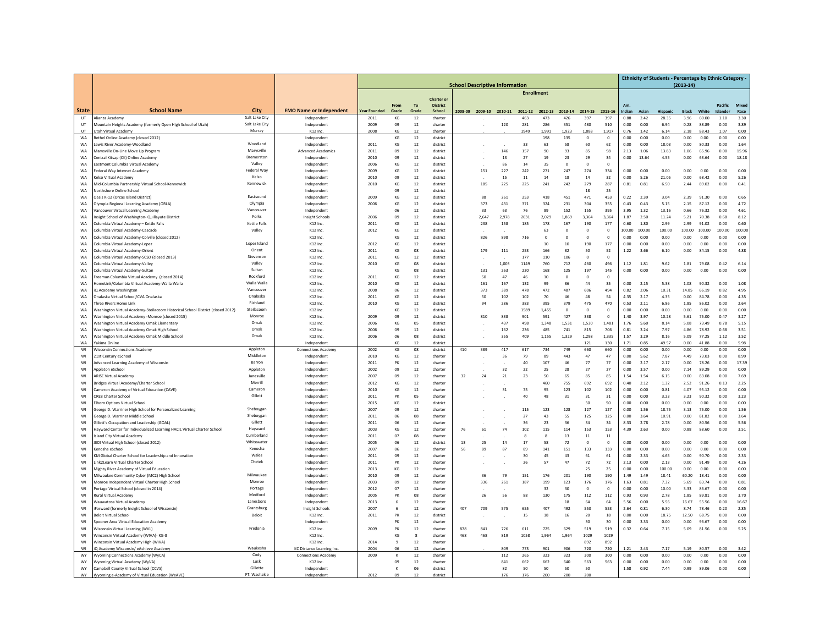|                        |                                                                                              |                        | <b>School Descriptive Information</b>         |                             |                |                  |                                      |          |                         |              |                   |                |                |                    |                       |                |               | Ethnicity of Students - Percentage by Ethnic Category - | $(2013-14)$          |                |                  |               |
|------------------------|----------------------------------------------------------------------------------------------|------------------------|-----------------------------------------------|-----------------------------|----------------|------------------|--------------------------------------|----------|-------------------------|--------------|-------------------|----------------|----------------|--------------------|-----------------------|----------------|---------------|---------------------------------------------------------|----------------------|----------------|------------------|---------------|
|                        |                                                                                              |                        |                                               |                             |                |                  |                                      |          |                         |              | <b>Enrollment</b> |                |                |                    |                       |                |               |                                                         |                      |                |                  |               |
|                        |                                                                                              |                        |                                               |                             | From           | <b>To</b>        | <b>Charter or</b><br><b>District</b> |          |                         |              |                   |                |                |                    |                       |                |               |                                                         |                      |                | Pacific          | Mixed         |
| <b>State</b><br>UT     | <b>School Name</b><br>Alianza Academy                                                        | City<br>Salt Lake City | <b>EMO Name or Independent</b><br>Independent | <b>Year Founded</b><br>2011 | Grade<br>KG    | Grade<br>12      | School<br>charter                    |          | 2008-09 2009-10 2010-11 |              | 2011-12<br>463    | 2012-13<br>473 | 2013-14<br>426 | 2014-15<br>397     | 2015-16<br>397        | Indian<br>0.88 | Aciar<br>2.42 | Hispanic<br>28.35                                       | <b>Black</b><br>3.96 | White<br>60.00 | Islander<br>1.10 | Race<br>3.30  |
| UT                     | Mountain Heights Academy (formerly Open High School of Utah)                                 | Salt Lake City         | Independent                                   | 2009                        | 09             | 12               | charter                              |          |                         | 120          | 281               | 286            | 351            | 480                | 510                   | 0.00           | 0.00          | 6.94                                                    | 0.28                 | 88.89          | 0.00             | 3.89          |
| UT.                    | Utah Virtual Academy                                                                         | Murray                 | K12 Inc.                                      | 2008                        | KG             | 12               | charter                              |          |                         |              | 1949              | 1.991          | 1.923          | 1.888              | 1.917                 | 0.76           | 1.42          | 6.14                                                    | 2.18                 | 88.43          | 1.07             | 0.00          |
| WA                     | Bethel Online Academy (closed 2012)                                                          | Woodland               | Independent                                   |                             | КG             | 12               | district                             |          |                         |              |                   | 198            | 135            | $\Omega$           | $\mathbf 0$           | 0.00           | 0.00          | 0.00                                                    | 0.00                 | 0.00           | 0.00             | 0.00          |
| WA<br>WA               | Lewis River Academy-Woodland<br>Marysville On-Line Move Up Program                           | Marvsville             | Independent<br><b>Advanced Academics</b>      | 2011<br>2011                | KG<br>0S       | 12<br>12         | district<br>district                 |          |                         | 146          | 33<br>157         | 63<br>90       | 58<br>93       | 60<br>85           | 62<br>98              | 0.00<br>2.13   | 0.00<br>1.06  | 18.03<br>13.83                                          | 0.00<br>1.06         | 80.33<br>65.96 | 0.00<br>0.00     | 1.64<br>15.96 |
| WA                     | Central Kitsap (CK) Online Academy                                                           | <b>Bremerston</b>      | Independent                                   | 2010                        | 0 <sup>o</sup> | 12               | district                             |          |                         | 13           | 27                | 19             | 23             | 29                 | 34                    | 0.00           | 13.64         | 4.55                                                    | 0.00                 | 63.64          | 0.00             | 18.18         |
| WA                     | Eastmont Columbia Virtual Academy                                                            | Valley                 | Independent                                   | 2006                        | KG             | 12               | district                             |          |                         | 86           | 14                | 35             | $\bf 0$        | $\mathbf 0$        | $\overline{0}$        |                |               |                                                         |                      |                |                  |               |
| <b>WA</b>              | Federal Way Internet Academy                                                                 | Federal Way            | Independent                                   | 2009                        | KG             | 12               | district                             |          | 151                     | 227          | 242               | 271            | 247            | 274                | 334                   | 0.00           | 0.00          | 0.00                                                    | 0.00                 | 0.00           | 0.00             | 0.00          |
| <b>WA</b><br><b>WA</b> | Kelso Virtual Academy<br>Mid-Columbia Partnership Virtual School-Kennewick                   | Kelso<br>Kennewick     | Independent<br>Independent                    | 2010<br>2010                | 09<br>KG       | 12<br>12         | district<br>district                 |          | 185                     | 15<br>225    | 11<br>225         | 14<br>241      | 18<br>242      | 14<br>279          | 32<br>287             | 0.00<br>0.81   | 5.26<br>0.81  | 21.05<br>6.50                                           | 0.00<br>2.44         | 68.42<br>89.02 | 0.00<br>0.00     | 5.26<br>0.41  |
| WA                     | Northshore Online School                                                                     |                        | Independent                                   |                             | 09             | 12               | district                             |          |                         |              |                   |                |                | 18                 | 25                    |                |               |                                                         |                      |                |                  |               |
| WA                     | Dasis K-12 (Orcas Island District                                                            | Eastsound              | Independent                                   | 2009                        | KG             | 12               | district                             |          | 88                      | 261          | 253               | 418            | 451            | 471                | 453                   | 0.22           | 2.39          | 3.04                                                    | 2.39                 | 91.30          | 0.00             | 0.65          |
| WA                     | Olympia Regional Learning Academy (ORLA)                                                     | Olympia                | Independent                                   | 2006                        | KG             | 12               | district                             |          | 373                     | 431          | 371               | 324            | 231            | 304                | 355                   | 0.43           | 0.43          | 5.15                                                    | 2.15                 | 87.12          | 0.00             | 4.72          |
| <b>WA</b>              | ancouver Virtual Learning Academy                                                            | Vancouver<br>Forks     | Independent                                   | 2006                        | 06             | 12               | district                             |          | 33                      | 63           | 76                | 89             | 152            | 155                | 395                   | 3.95           | 1.32          | 13.16                                                   | 0.66                 | 76.32          | 0.00             | 4.61          |
| WA<br><b>WA</b>        | nsight School of Washington- Quillayute District<br>olumbia Virtual Academy - Kettle Falls   | <b>Kettle Falls</b>    | <b>Insight Schools</b><br>K12 Inc.            | 2011                        | 09<br>KG       | $12\,$<br>$12\,$ | district<br>district                 |          | 2,647<br>238            | 2,978<br>158 | 2031<br>185       | 2,029<br>178   | 1,869<br>167   | 3,364<br>190       | 3,364<br>177          | 1.87<br>0.60   | 2.50<br>1.80  | 11.24<br>2.99                                           | 5.21<br>2.99         | 70.38<br>91.02 | 0.68<br>0.00     | 8.12<br>0.60  |
| <b>WA</b>              | olumbia Virtual Academy-Cascade                                                              | Valley                 | K12 Inc.                                      | 2012                        | KG             | 12               | district                             |          |                         |              |                   | 63             | $\mathbf{0}$   | $\mathbf 0$        | $\mathbf{0}$          | 100.00         | 100.00        | 100.00                                                  | 100.00               | 100.00         | 100.00           | 100.00        |
| WA                     | olumbia Virtual Academy-Colville (closed 2012)                                               |                        | K12 Inc.                                      |                             | KG             | 12               | district                             |          | 826                     | 898          | 716               | $\mathbf{0}$   | $\mathbf 0$    | $\,0\,$            | $\circ$               | 0.00           | 0.00          | 0.00                                                    | 0.00                 | 0.00           | 0.00             | 0.00          |
| WA                     | olumbia Virtual Academy-Lopez                                                                | Lopez Island           | K12 Inc.                                      | 2012                        | KG             | 12               | district                             |          |                         |              |                   | 10             | 10             | 190                | 177                   | 0.00           | 0.00          | 0.00                                                    | 0.00                 | 0.00           | 0.00             | 0.00          |
| WA                     | Columbia Virtual Academy-Orien                                                               | Orient<br>Stevenson    | K12 Inc.<br>K12 Inc.                          | 2011<br>2011                | KG             | $08\,$           | district                             |          | 179                     | 111          | 253<br>177        | 166            | 82             | 50<br>$\Omega$     | 52<br>$\Omega$        | 1.22           | 3.66          | 6.10                                                    | 0.00                 | 84.15          | 0.00             | 4.88          |
| WA<br>WA               | Columbia Virtual Academy-SCSD (closed 2013)<br>Columbia Virtual Academy-Valley               | Valley                 | K12 Inc.                                      | 2010                        | KG<br>KG       | 12<br>08         | district<br>district                 |          |                         | 1.003        | 1149              | 110<br>760     | 106<br>712     | 460                | 496                   | 1.12           | 1.81          | 9.62                                                    | 1.81                 | 79.08          | 0.42             | 6.14          |
| <b>WA</b>              | Columbia Virtual Academy-Sultar                                                              | Sultan                 | K12 Inc.                                      |                             | KG             | 08               | district                             |          | 131                     | 263          | 220               | 168            | 125            | 197                | 145                   | 0.00           | 0.00          | 0.00                                                    | 0.00                 | 0.00           | 0.00             | 0.00          |
| <b>WA</b>              | reeman Columbia Virtual Academy (closed 2014                                                 | Rockford               | K12 Inc.                                      | 2011                        | KG             | 12               | district                             |          | 50                      | 47           | 46                | 10             | $\Omega$       | $\Omega$           | $\Omega$              |                |               |                                                         |                      |                |                  |               |
| <b>WA</b>              | HomeLink/Columbia Virtual Academy-Walla Walla                                                | Walla Walla            | K12 Inc.                                      | 2010                        | KG             | 12               | district                             |          | 161                     | 167          | 132               | 99             | 86             | 44                 | 35                    | 0.00           | 2.15          | 5.38                                                    | 1.08                 | 90.32          | 0.00             | 1.08          |
| WA                     | iQ Academy Washington<br>Onalaska Virtual School/CVA Onalaska                                | Vancouver<br>Onalaska  | K12 Inc.<br>K12 Inc.                          | 2008<br>2011                | 06<br>KG       | 12<br>12         | district                             |          | 373<br>50               | 389<br>102   | 478<br>102        | 472            | 487<br>46      | 606<br>48          | 494<br>54             | 0.82<br>4.35   | 2.06<br>2.17  | 10.31<br>4.35                                           | 14.85<br>0.00        | 66.19<br>84.78 | 0.82<br>0.00     | 4.95<br>4.35  |
| WA<br>WA               | <b>Three Rivers Home Link</b>                                                                | Richland               | K12 Inc.                                      | 2010                        | KG             | 12               | district<br>district                 |          | 94                      | 286          | 383               | 70<br>395      | 379            | 475                | 470                   | 0.53           | 2.11          | 6.86                                                    | 1.85                 | 86.02          | 0.00             | 2.64          |
| <b>WA</b>              | Washington Virtual Academy-Steilacoom Historical School District (closed 2012)               | Steilacoom             | K12 Inc.                                      |                             | KG             | $12\,$           | district                             |          |                         |              | 1589              | 1.455          | $\circ$        | $\Omega$           | $\Omega$              | 0.00           | 0.00          | 0.00                                                    | 0.00                 | 0.00           | 0.00             | 0.00          |
| WA                     | Washington Virtual Academy -Monroe (closed 2015)                                             | Monroe                 | K12 Inc.                                      | 2009                        | 09             | $12\,$           | district                             |          | 810                     | 838          | 901               | 591            | 427            | 338                | $\overline{0}$        | 1.40           | 3.97          | 10.28                                                   | 5.61                 | 75.00          | 0.47             | 3.27          |
| <b>WA</b>              | Washington Virtual Academy Omak Elementary                                                   | Omak                   | K12 Inc.                                      | 2006                        | KG             | 05               | district                             |          |                         | 437          | 498               | 1,348          | 1,531          | 1,530              | 1.481                 | 1.76           | 5.60          | 8.14                                                    | 5.08                 | 73.49          | 0.78             | 5.15          |
| WA<br><b>WA</b>        | Washington Virtual Academy Omak High School<br>Washington Virtual Academy Omak Middle School | Omak<br>Omak           | K12 Inc.<br>K12 Inc.                          | 2006<br>2006                | 09<br>06       | 12<br>08         | district<br>district                 |          |                         | 162<br>355   | 236<br>409        | 485<br>1,155   | 741<br>1,329   | 815<br>1,298       | 706<br>1,335          | 0.81<br>1.57   | 3.24<br>3.29  | 7.97<br>8.16                                            | 4.86<br>5.09         | 78.92<br>77.25 | 0.68<br>1.12     | 3.51<br>3.52  |
| WA                     | Yakima Online                                                                                |                        | Independent                                   |                             | KG             | 12               | district                             |          |                         |              |                   |                |                | 121                | 130                   | 1.71           | 0.85          | 49.57                                                   | 0.00                 | 41.88          | 0.00             | 5.98          |
| WI                     | <b>Wisconsin Connections Academy</b>                                                         | Appleton               | <b>Connections Academy</b>                    | 2002                        | KG             | 08               | district                             | 410      | 389                     | 417          | 617               | 734            | 749            | 660                | 660                   | 0.00           | 0.00          | 0.00                                                    | 0.00                 | 0.00           | 0.00             | 0.00          |
| WI                     | 21st Century eSchool                                                                         | Middleton              | Independent                                   | 2010                        | KG             | 12               | charter                              |          |                         | 36           | 79                | 89             | 443            | 47                 | 47                    | 0.00           | 5.62          | 7.87                                                    | 4.49                 | 73.03          | 0.00             | 8.99          |
| WI<br>WI               | Advanced Learning Academy of Wisconsin<br>Appleton eSchool                                   | Barron<br>Appleton     | Independent<br>Independent                    | 2011<br>2002                | PK<br>09       | 12<br>12         | charter<br>charter                   |          |                         | 32           | 40<br>22          | 107<br>25      | 46<br>28       | 77<br>27           | 77<br>27              | 0.00<br>0.00   | 2.17<br>3.57  | 2.17<br>0.00                                            | 0.00<br>7.14         | 78.26<br>89.29 | 0.00<br>0.00     | 17.39<br>0.00 |
| WI                     | <b>ARISE Virtual Academy</b>                                                                 | Janesville             | Independent                                   | 2007                        | 09             | 12               | charter                              | 32       | 24                      | 21           | 23                | 50             | 65             | 85                 | 85                    | 1.54           | 1.54          | 6.15                                                    | 0.00                 | 83.08          | 0.00             | 7.69          |
| WI                     | Bridges Virtual Academy/Charter School                                                       | Merrill                | Independent                                   | 2012                        | KG             | $12\,$           | charter                              |          |                         |              |                   | 460            | 755            | 692                | 692                   | 0.40           | 2.12          | 1.32                                                    | 2.52                 | 91.26          | 0.13             | 2.25          |
| WI                     | ameron Academy of Virtual Education (CAVE)                                                   | Cameron                | Independent                                   | 2010                        | KG             | $12\,$           | charter                              |          |                         | 31           | 75                | 95             | 123            | 102                | 102                   | 0.00           | 0.00          | 0.81                                                    | 4.07                 | 95.12          | 0.00             | 0.00          |
| WI                     | <b>CRE8 Charter School</b>                                                                   | Gillett                | Independent                                   | 2011                        | PK             | 05               | charter                              |          |                         |              | 40                | 48             | $31\,$         | $31\,$             | 31                    | 0.00           | 0.00          | 3.23                                                    | 3.23                 | 90.32          | 0.00             | 3.23          |
| WI<br>WI               | lhorn Options Virtual School<br>Seorge D. Warriner High School for Personalized Learning     | Sheboygar              | Independent<br>Independent                    | 2015<br>2007                | KG<br>09       | 12<br>12         | district<br>charter                  |          |                         |              | 115               | 123            | 128            | 50<br>127          | 50<br>127             | 0.00<br>0.00   | 0.00<br>1.56  | 0.00<br>18.75                                           | 0.00<br>3.13         | 0.00<br>75.00  | 0.00<br>0.00     | 0.00<br>1.56  |
| WI                     | eorge D. Warriner Middle School                                                              | Sheboygan              | Independent                                   | 2011                        | 06             | 08               | charter                              |          |                         |              | 27                | 43             | 55             | 125                | 125                   | 0.00           | 3.64          | 10.91                                                   | 0.00                 | 81.82          | 0.00             | 3.64          |
| WI                     | <b>Sillett's Occupation and Leadership (GOAL)</b>                                            | Gillett                | Independent                                   | 2011                        | 06             | $12\,$           | charter                              |          |                         |              | 36                | 23             | 36             | 34                 | 34                    | 8.33           | 2.78          | 2.78                                                    | 0.00                 | 80.56          | 0.00             | 5.56          |
| WI                     | layward Center for Individualized Learning HACIL Virtual Charter School                      | Havward                | Independent                                   | 2003                        | KG             | 12               | charter                              | 76       | 61                      | 74           | 102               | 115            | 114            | 153                | 153                   | 4.39           | 2.63          | 0.00                                                    | 0.88                 | 88.60          | 0.00             | 3.51          |
| WI                     | sland City Virtual Academy                                                                   | Cumberland             | Independent                                   | 2011                        | 07             | 08               | charter                              |          |                         |              | 8                 | 8              | 13             | $11\,$             | $11\,$                |                |               |                                                         |                      |                |                  |               |
| WI<br>WI               | EDI Virtual High School (closed 2012)<br>enosha eSchool                                      | Whitewater<br>Kenosha  | Independent<br>Independent                    | 2005<br>2007                | 06<br>06       | 12<br>12         | district<br>charter                  | 13<br>56 | 25<br>89                | 14<br>87     | 17<br>89          | 58<br>141      | 72<br>151      | $\Omega$<br>133    | $\overline{0}$<br>133 | 0.00<br>0.00   | 0.00<br>0.00  | 0.00<br>0.00                                            | 0.00<br>0.00         | 0.00<br>0.00   | 0.00<br>0.00     | 0.00<br>0.00  |
| WI                     | KM Global Charter School for Leadership and Innovation                                       | Wales                  | Indenendent                                   | 2011                        | 09             | 12               | charter                              |          |                         |              | $30^{\circ}$      | 45             | 43             | 61                 | 61                    | 0.00           | 2.33          | 4.65                                                    | 0.00                 | 90.70          | 0.00             | 2.33          |
| WI                     | Link2Learn Virtual Charter School                                                            | Chetek                 | Independent                                   | 2011                        | PK             | 12               | charter                              |          |                         |              | 26                | 57             | 47             | 72                 | 72                    | 2.13           | 0.00          | 2.13                                                    | 0.00                 | 91.49          | 0.00             | 4.26          |
| WI                     | Mighty River Academy of Virtual Education                                                    |                        | Independent                                   | 2013                        | KG             | 12               | charter                              |          |                         |              |                   |                |                | 25                 | 25                    | 0.00           | 0.00          | 100.00                                                  | 0.00                 | 0.00           | 0.00             | 0.00          |
| WI<br>WI               | Milwaukee Community Cyber (MC2) High School                                                  | Milwaukee<br>Monroe    | Independent                                   | 2010                        | 09             | 12               | charter                              |          | 36<br>336               | 79           | 151               | 176            | 201<br>123     | 190                | 190                   | 1.49           | 1.49<br>0.81  | 18.41                                                   | 60.20                | 18.41          | 0.00             | 0.00          |
| WI                     | Monroe Independent Virtual Charter High School<br>Portage Virtual School (closed in 2014)    | Portage                | Independent<br>Independent                    | 2003<br>2012                | 09<br>$_{07}$  | $12\,$<br>$12\,$ | charter<br>charter                   |          |                         | 261          | 187               | 199<br>32      | 30             | 176<br>$\mathbf 0$ | 176<br>$\overline{0}$ | 1.63<br>0.00   | 0.00          | 7.32<br>10.00                                           | 5.69<br>3.33         | 83.74<br>86.67 | 0.00<br>0.00     | 0.81<br>0.00  |
| WI                     | Rural Virtual Academy                                                                        | Medford                | Independent                                   | 2005                        | PK             | 08               | charter                              |          | 26                      | 56           | 88                | 130            | 175            | 112                | 112                   | 0.93           | 0.93          | 2.78                                                    | 1.85                 | 89.81          | 0.00             | 3.70          |
| WI                     | Wauwatosa Virtual Academy                                                                    | Laneshoro              | Independent                                   | 2013                        | 6              | 12               | charter                              |          |                         |              |                   |                | $18\,$         | 64                 | 64                    | 5.56           | 0.00          | 5.56                                                    | 16.67                | 55.56          | 0.00             | 16.67         |
| WI                     | Forward (formerly Insight School of Wisconsin)                                               | Grantsburg             | Insight Schools                               | 2007                        | 6              | 12               | charter                              | 407      | 709                     | 575          | 655               | 407            | 492            | 553                | 553                   | 2.64           | 0.81          | 6.30                                                    | 8.74                 | 78.46          | 0.20             | 2.85          |
| WI<br>WI               | <b>Beloit Virtual School</b><br>Spooner Area Virtual Education Academy                       | Beloit                 | K12 Inc.<br>Independent                       | 2011                        | PK<br>PK       | 12<br>12         | district<br>charter                  |          |                         |              | 15                | 18             | 16             | 20<br>30           | 18<br>30              | 0.00<br>0.00   | 0.00<br>3.33  | 18.75<br>0.00                                           | 12.50<br>0.00        | 68.75<br>96.67 | 0.00<br>0.00     | 0.00<br>0.00  |
| WI                     | Wisconsin Virtual Learning (WVL)                                                             | Fredonia               | K12 Inc.                                      | 2009                        | PK             | 12               | charter                              | 878      | 841                     | 726          | 611               | 725            | 629            | 519                | 519                   | 0.32           | 0.64          | 7.15                                                    | 5.09                 | 81.56          | 0.00             | 5.25          |
| WI                     | Winconsin Virtual Academy (WIVA)- KG-8                                                       |                        | K12 Inc.                                      |                             | KG             | $\mathbf{R}$     | charter                              | 468      | 468                     | 819          | 1058              | 1.964          | 1.964          | 1029               | 1029                  |                |               |                                                         |                      |                |                  |               |
| WI                     | Winconsin Virtual Academy High (WIVA)                                                        |                        | K12 Inc.                                      | 2014                        | $\mathbf{q}$   | 12               | charter                              |          |                         |              |                   |                |                | 892                | 892                   |                |               |                                                         |                      |                |                  |               |
| WI                     | iQ Academy Wisconsin/ eAchieve Academy                                                       | Waukesha               | <b>KC Distance Learning Inc</b>               | 2004                        | 06             | 12               | charter                              |          |                         | 809          | 773               | 901            | 906            | 720                | 720                   | 1.21           | 2.43          | 7.17                                                    | 5.19                 | 80.57          | 0.00             | 3.42          |
| WY<br>WY               | Wyoming Connections Academy (WyCA)<br>Wyoming Virtual Academy (WyVA)                         | Cody<br>Lusk           | <b>Connections Academy</b><br>K12 Inc.        | 2009                        | к<br>09        | 12<br>$12\,$     | charter<br>charter                   |          |                         | 112<br>841   | 265<br>662        | 323<br>662     | 323<br>640     | 300<br>563         | 300<br>563            | 0.00<br>0.00   | 0.00<br>0.00  | 0.00<br>0.00                                            | 0.00<br>0.00         | 0.00<br>0.00   | 0.00<br>0.00     | 0.00<br>0.00  |
| WY                     | Campbell County Virtual School (CCVS)                                                        | Gillette               | Independent                                   |                             | K              | 06               | district                             |          |                         | 82           | 50                | 50             | 50             | 50                 |                       | 1.58           | 0.92          | 7.44                                                    | 0.99                 | 89.06          | 0.00             | 0.00          |
| WY                     | Wyoming e-Academy of Virtual Education (WeAVE)                                               | FT. Washakie           | Independent                                   | 2012                        | 09             | 12               | distric                              |          |                         | 176          | 176               | 200            | 200            | 200                |                       |                |               |                                                         |                      |                |                  |               |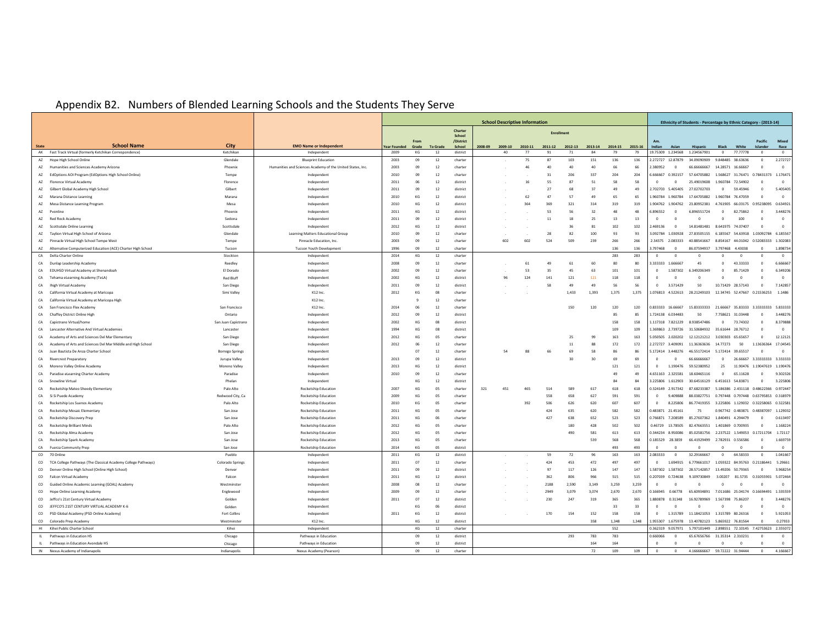## Appendix B2. Numbers of Blended Learning Schools and the Students They Serve

|           |                                                                                                     |                                                                                          |              |          |          |                     |         |         | <b>School Descriptive Information</b> |                   |           |            |            |           |                                              | Ethnicity of Students - Percentage by Ethnic Category - (2013-14) |                                           |                              |                                         |                      |
|-----------|-----------------------------------------------------------------------------------------------------|------------------------------------------------------------------------------------------|--------------|----------|----------|---------------------|---------|---------|---------------------------------------|-------------------|-----------|------------|------------|-----------|----------------------------------------------|-------------------------------------------------------------------|-------------------------------------------|------------------------------|-----------------------------------------|----------------------|
|           |                                                                                                     |                                                                                          |              |          |          | Charter             |         |         |                                       | <b>Enrollment</b> |           |            |            |           |                                              |                                                                   |                                           |                              |                                         |                      |
|           |                                                                                                     |                                                                                          |              | Fron     |          | School<br>/District |         |         |                                       |                   |           |            |            |           | A <sub>m</sub>                               |                                                                   |                                           |                              | Pacific                                 | Mixed                |
|           | <b>School Name</b><br><b>City</b>                                                                   | <b>EMO Name or Independent</b>                                                           | Year Founde  | Grade    | To Grad  | <b>School</b>       | 2008-09 | 2009-10 | 2010-11                               | 2011-12           | 2012-13   | 2013-14    | 2014-15    | 2015-16   | Asiar                                        | <b>Hispanie</b>                                                   | Blad                                      | White                        |                                         | Race                 |
|           | AK Fast Track Virtual (formerly Ketchikan Correspondence)<br>Ketchikan                              | Independent                                                                              | 2009         | KG       | 12       | district            |         | 40      | 77                                    | 91                | 71        | 84         | 79         | 79        | 19.75309 1.234568                            | 1.234567901                                                       | $\Omega$                                  | 77.77778                     | $\Omega$                                | $\Omega$             |
|           | Glendale<br>AZ Hope High School Online<br>AZ Humanities and Sciences Academy Arizona<br>Phoenix     | <b>Blueprint Education</b><br>Humanities and Sciences Academy of the United States, Inc. | 2003<br>2003 | 09<br>09 | 12<br>12 | charter<br>charter  |         |         | 75<br>46                              | 87<br>$\Delta f$  | 103<br>40 | 151<br>40  | 136<br>66  | 136<br>66 | 2.272727<br>12,87879<br>2.380952<br>$\Omega$ | 34.09090909<br>66.66666667                                        | 9.848485 38.63636<br>14,28571             | 16,66667                     | $\mathbf{0}$<br>$\overline{\mathbf{0}}$ | 2.272727<br>$\circ$  |
|           | AZ EdOptions AOI Program (EdOptions High School Online)<br>Tempe                                    | Independent                                                                              | 2010         | 09       | 12       | charter             |         |         |                                       | 31                | 206       | 337        | 204        | 204       | 5.666667<br>0.392157                         | 57.64705882                                                       | 1.568627 31.76471 0.78431373 1.176471     |                              |                                         |                      |
|           | AZ Florence Virtual Academy<br>Florence                                                             | Independent                                                                              | 2011         | 06       | 12       | district            |         |         | 16                                    | 55                | 87        | 51         | 58         | 58        | $\Omega$                                     | 25.49019608                                                       | 1.960784                                  | 72,54902                     | $^{\circ}$                              | $\theta$             |
|           | AZ Gilbert Global Academy High School<br>Gilbert                                                    | Indenendent                                                                              | 2011         | 09       | 12       | district            |         |         |                                       | 27                | 68        | 37         | 49         | 49        | 2702703<br>5.405405                          | 27.02702703                                                       | $\sqrt{ }$                                | 59 45946                     | $\Omega$                                | 5.40540              |
|           | AZ Marana Distance Learning<br>Marana                                                               | Independent                                                                              | 2010         | KG       | 12       | district            |         |         | 62                                    | 47                | 57        | 49         | 65         | 65        | .960784<br>1.960784                          | 17.64705882                                                       | 1.960784                                  | 76.47059                     | $\theta$                                | $\mathbf{0}$         |
|           | AZ Mesa Distance Learning Program<br>Mesa                                                           | Independent                                                                              | 2010         | KG       | 12       | district            |         |         | 364                                   | 369               | 321       | 314        | 319        | 319       | .904762<br>1.904762                          | 23.80952381                                                       | 4.761905                                  | 66.03175 0.95238095 0.634921 |                                         |                      |
|           | AZ Pvonlin<br>Phoenix                                                                               | Independent                                                                              | 2011         | KG       | 12       | district            |         |         |                                       | 53                | 56        | 32         | 48         | 48        | 5.896552<br>$\Omega$                         | 6.896551724                                                       | $\Omega$                                  | 82.75862                     | $\Omega$                                | 3.448276             |
|           | AZ Red Rock Academy<br>Sedona                                                                       | Independent                                                                              | 2011         | 09       | 12       | district            |         |         |                                       | 11                | 18        | 25         | 13         | 13        |                                              | $\Omega$                                                          |                                           | 100                          | $\Omega$                                | $\theta$             |
|           | AZ Scottsdale Online Learning<br>Scottsdale                                                         | Independent                                                                              | 2012         | KG       | 12       | district            |         |         |                                       |                   | ٩É        | 81         | 102        | 102       | 2.469136<br>$\Omega$                         | 14.81481481                                                       | 8.641975 74.07407                         |                              | $\overline{0}$                          | $\overline{0}$       |
|           | AZ Taylion Virtual High School of Arizona<br>Glendale                                               | Learning Matters Educational Group                                                       | 2010         | 09       | 12       | charter             |         |         |                                       | 28                | 82        | 100        | 93         | 93        | 3.092784 1.030928                            | 27.83505155                                                       | 6.185567 54.63918 1.03092784 6.185567     |                              |                                         |                      |
|           | AZ Pinnacle Virtual High School Tempe West<br>Tempe                                                 | Pinnacle Education, Inc.                                                                 | 2003         | 09       | 12       | charter             |         | 602     | 602                                   | 524               | 509       | 239        | 266        | 266       | 234375<br>2.083333                           | 40 88541667                                                       | 8 854167 44 01042 0 52083333              |                              |                                         | 1.302083             |
|           | A7 Alternative Computerized Education (ACE) Charter High School<br>Tucson                           | Tucson Youth Development                                                                 | 1996         | 09       | 12       | charter             |         |         |                                       |                   |           |            | 136        | 136       | 3.797468<br>$\Omega$                         | 86.07594937                                                       | 3.797468 4.43038                          |                              | $\Omega$                                | 1.89873              |
|           | CA Delta Charter Online<br>Stockton                                                                 | Independent                                                                              | 2014         | KG       | 12       | charter             |         |         |                                       |                   |           |            | 283        | 283       | $\Omega$<br>$\Omega$                         | $\Omega$                                                          |                                           | $\Omega$                     | $\Omega$                                | $\overline{0}$       |
|           | CA Dunlap Leadership Academy<br>Reedley                                                             | Independent                                                                              | 2008         | 09       | 12       | charter             |         |         | 61                                    | 49                | 61        | 60         | 80         | 80        | 3.333333<br>1.666667                         | 45                                                                |                                           | 43.33333                     | $\Omega$                                | 6.666667             |
|           | CA EDUHSD Virtual Academy at Shenandoah<br>El Dorado                                                | Independent                                                                              | 2002         | 09       | 12       | charter             |         |         | 53                                    | 35                | 45        | 63         | 101        | 101       | 1,587302<br>$\Omega$                         | 6.349206349                                                       | $\Omega$                                  | 85.71429                     | $\overline{0}$                          | 6.349206             |
| CA        | Tehama eLearning Academy (TeLA)<br><b>Red Bluff</b>                                                 | Independent                                                                              | 2002         | KG       | 12       | district            |         | 96      | 124                                   | 141               | 121       | 121        | 118        | 118       |                                              | $\Omega$                                                          |                                           | $\Omega$                     | $\Omega$                                | $\mathbf{0}$         |
| CA        | Ihigh Virtual Academy<br>San Diego                                                                  | Independent                                                                              | 2011         | 09       | 12       | district            |         |         |                                       | 58                | 49        | 49         | 56         | 56        | 3.571429<br>$\Omega$                         | 50                                                                | 10.71429 28.57143                         |                              | $\overline{0}$                          | 7.142857             |
| CA        | California Virtual Academy at Maricopa<br>Simi Valley                                               | K12 Inc.                                                                                 | 2012         | KG       | 08       | charter             |         |         |                                       |                   | 1.433     | 1.393      | 1.375      | 1.375     | 1.076813 4.522613                            | 28.21249103                                                       | 12.34745 52.47667 0.21536253 1.1486       |                              |                                         |                      |
|           | CA California Virtual Academy at Maricona High                                                      | K12 Inc                                                                                  |              |          | 12       | charter             |         |         |                                       |                   |           |            |            |           |                                              |                                                                   |                                           |                              |                                         |                      |
| CA        | San Francisco Flex Academy<br>San Francisco                                                         | $K12$ Inc.                                                                               | 2014         | 06       | 12       | charter             |         |         |                                       |                   | 150       | 120        | 120        | 120       | 0.833333 16.66667                            | 15.83333333                                                       | 21 66667 35 83333 3 33333333 5 833333     |                              |                                         |                      |
| CA        | Chaffey District Online High<br>Ontario                                                             | Indenendent                                                                              | 2012         | 09       | 12       | district            |         |         |                                       |                   |           |            | 85         | 85        | 1.724138 6.034483                            | 50                                                                | 7.758621                                  | 31.03448                     | $\Omega$                                | 3.448276             |
|           | CA Capistrano Virtual/home<br>San Juan Capistrano                                                   | Independent                                                                              | 2002         | KG       | 08       | district            |         |         |                                       |                   |           |            | 158        | 158       | 1.117318 7.821229                            | 8.938547486                                                       | $\Omega$                                  | 73,74302                     | $\Omega$                                | 8.379888             |
|           | CA Lancaster Alternative And Virtual Academies<br>Lancaster                                         | Independent                                                                              | 1994         | KG       | 08       | district            |         |         |                                       |                   |           |            | 109        | 109       | 1.369863 2.739726                            | 31.50684932                                                       | 35.61644                                  | 28,76712                     | $\Omega$                                | $\theta$             |
| CA        | Academy of Arts and Sciences Del Mar Elementary<br>San Diego                                        | Independent                                                                              | 2012         | KG       | 05       | charter             |         |         |                                       |                   | 25        | 99         | 163        | 163       | 5.050505 2.020202                            | 12.12121212                                                       | 3.030303                                  | 65.65657                     | $^{\circ}$                              | 12.12121             |
| CA        | Academy of Arts and Sciences Del Mar Middle and High School<br>San Diego                            | Independent                                                                              | 2012         | 06       | 12       | charter             |         |         |                                       |                   | 11        | 88         | 172        | 172       | 2.272727 3.409091                            | 11.36363636                                                       | 14,77273                                  | 50                           | 1.13636364 17.04545                     |                      |
| CA        | Juan Bautista De Anza Charter School<br><b>Borrego Springs</b>                                      | Indenendent                                                                              |              | 07       | 12       | charter             |         | 54      | 88                                    | 66                | 69        | 58         | 86         | 86        | 172414 3448276                               | 46 55172414                                                       | 5.172414                                  | 39.65517                     | $\Omega$                                | $\Omega$             |
| CA        | <b>Rivercrest Preparatory</b><br>Jurupa Valley                                                      | Indenendent                                                                              | 2013         | 09       | 12       | district            |         |         |                                       |                   | 30        | 30         | 69         | 69        | $\Omega$                                     | 66 66666667                                                       | $\Omega$                                  |                              |                                         |                      |
| CA        | Moreno Valley Online Academy<br>Moreno Valley                                                       | Indenendent                                                                              | 2013         | KG       | 12       | district            |         |         |                                       |                   |           |            | 121        | 121       | $\Omega$<br>1.190476                         | 59 52380952                                                       | 25                                        | 11.90476 1.19047619 1.19047  |                                         |                      |
| CA        | Paradise eLearning Charter Academy<br>Paradise                                                      | Independent                                                                              | 2010         | 09       | 12       | charter             |         |         |                                       |                   |           |            | 49         | 49        | 1651163 2325581                              | 18 60465116                                                       | $\Omega$                                  | 65.11628                     | $\Omega$                                | 9.302326             |
| CA        | Phelan<br>Snowline Virtual                                                                          | Independent                                                                              |              | KG       | 12       | district            |         |         |                                       |                   |           |            | Ŕ.         | 84        | 3.225806 1.612903                            | 30.64516129                                                       | 6.451613 54.83871                         |                              | $\Omega$                                | 3.225806             |
| CA        | Rocketship Mateo Sheedy Elementary<br>Palo Alto                                                     | Rocketship Education                                                                     | 2007         | KG       | 05       | charter             | 321     | 451     | 465                                   | 514               | 589       | 617        | 618        | 618       | 0.324149 2.917342                            | 87.68233387                                                       | 5.186386 2.431118 0.48622366 0.972447     |                              |                                         |                      |
| CA        | Si Si Puede Academy<br>Redwood City, Ca                                                             | <b>Rocketship Education</b>                                                              | 2009         | KG       | 05       | charter             |         |         |                                       | 558               | 658       | 627        | 591        | 591       | 9,409888                                     | 88.03827751                                                       | 0.797448 0.797448 0.63795853 0.31897      |                              |                                         |                      |
| CA        | Palo Alto<br>Rocketship Los Suenos Academy                                                          | <b>Rocketship Education</b>                                                              | 2010         | KG       | 05       | charter             |         |         | 392                                   | 506               | 626       | 620        | 607        | 607       | 8.225806<br>$\Omega$                         | 86.77419355                                                       | 3.225806 1.129032 0.32258065 0.32258      |                              |                                         |                      |
| CA        | <b>Rocketshin Mosaic Elementary</b><br>San Inse                                                     | Rocketship Education                                                                     | 2011         | KG       | 05       | charter             |         |         |                                       | 424               | 635       | 620        | 582        | 582       | 483871<br>21 45161                           | 75                                                                | 0.967742 0.483871 0.48387097 1.129032     |                              |                                         |                      |
| CA        | <b>Rocketshin Discovery Pren</b><br>San Jose                                                        | Rocketship Education                                                                     | 2011         | KG       | 06       | charter             |         |         |                                       | 427               | 638       | 652        | 523        | 523       | 766871<br>7.208589                           | 85.27607362                                                       | 1840491 4294479                           |                              | $\Omega$                                | 0.613497             |
| CA        | <b>Rocketshin Brilliant Minds</b><br>Palo Alto                                                      | Rocketship Education                                                                     | 2012         | KG       | 05       | charter             |         |         |                                       |                   | 180       | 428        | 502        | 502       | 0.46729<br>13.78505                          | 82 47663551                                                       | 1401869 0.700935                          |                              | $\Omega$                                | 1.168224             |
| CA        | Rocketship Alma Academy<br>San Jose                                                                 | <b>Rocketship Education</b>                                                              | 2012         | KG       | 05       | charter             |         |         |                                       |                   | 490       | 581        | 613        | 613       | 344234<br>8.950086                           | 85.02581756                                                       | 2.237522 1.549053 0.17211704 1.72117      |                              |                                         |                      |
|           | CA Rocketship Spark Academy<br>San Jose                                                             | Rocketship Education                                                                     | 2013         | KG       | 05       | charter             |         |         |                                       |                   |           | 539        | 568        | 568       | 0.185529<br>28.3859                          | 66.41929499                                                       | 2.782931                                  | 0.556586                     | $\Omega$                                | 1.669759             |
|           | CA Fuerza Community Prep<br>San Jose                                                                | <b>Rocketship Education</b>                                                              | 2014         | KG       | 05       | district            |         |         |                                       |                   |           |            | 493        | 493       |                                              | $\Omega$                                                          |                                           | $\Omega$                     | $\Omega$                                | $\circ$              |
| co        | 70 Online<br>Pueblo                                                                                 | Independent                                                                              | 2011         | KG       | 12       | district            |         |         |                                       | 59                | 72        | 96         | 163        | 163       | 2.083333<br>$\Omega$                         | 32.29166667                                                       | $^{\circ}$                                | 64,58333                     | $\mathbf{0}$                            | 1.041667             |
|           | CO TCA College Pathways (The Classical Academy College Pathways)<br>Colorado Springs                | Indenendent                                                                              | 2011         | 07       | 12       | charter             |         |         |                                       | 424               | 453       | 472        | 497        | 497       | 1.694915<br>$\Omega$                         | 6 779661017                                                       | 1.059322 84.95763 0.21186441 5.29661      |                              |                                         |                      |
|           | CO Denver Online High School (Online High School)<br>Denver                                         | Indenendent                                                                              | 2011         | 09       | 12       | district            |         |         |                                       | 97                | 117       | 126        | 147        | 147       | 587302<br>1.587302                           | 28 57142857                                                       | 13 49206 50 79365                         |                              | $\Omega$                                | 3.968254             |
| <b>CO</b> | Falcon Virtual Academy<br>Falcon                                                                    | Independent                                                                              | 2011         | KG       | 12       | district            |         |         |                                       | 362               | 806       | 966        | 515        | 515       | 207039<br>0.724638                           | 9.109730849                                                       | 3.00207                                   | 81.5735                      | 0.31055901 5.072464                     |                      |
| co        | Guided Online Academic Learning (GOAL) Academy<br>Westminster                                       | Independent                                                                              | 2008         | 08       | 12       | charter             |         |         |                                       | 2188              | 2.590     | 3.149      | 3.259      | 3.259     |                                              | $\Omega$                                                          | $\Omega$                                  | $\Omega$                     | $\Omega$                                | $\Omega$             |
| co        | Hope Online Learning Academy<br>Englewood                                                           | Independent                                                                              | 2009         | 09       | 12       | charter             |         |         |                                       | 2949              | 3.079     | 3.074      | 2.670      | 2.670     | 20931.0<br>0.66778                           | 65.60934891                                                       | 7.011686 25.04174 0.16694491 1.335559     |                              |                                         |                      |
| co        | Jeffco's 21st Century Virtual Academy<br>Golden                                                     | Independent                                                                              | 2011         | 07       | 12       | district            |         |         |                                       | 230               | 247       | 319        | 365        | 365       | 880878<br>0.31348                            | 16 92789969                                                       | 1.567398                                  | 75.86207                     | $\Omega$                                | 3.448276             |
|           | CO JEFFCO'S 21ST CENTURY VIRTUAL ACADEMY K-6<br>Golden                                              | Independent                                                                              |              | KG       | 06       | district            |         |         |                                       |                   |           |            | 33         | 33        |                                              | $\Omega$                                                          | $\Omega$                                  | $\Omega$                     | $\Omega$                                | $\circ$              |
|           | CO PSD Global Academy (PSD Online Academy)<br>Fort Collins                                          | Independent                                                                              | 2011         | KG       | 12       | district            |         |         |                                       | 170               | 154       | 152        | 158        | 158       | 1.315789<br>$\Omega$                         | 11.18421053                                                       | 1.315789 80.26316                         |                              | $\mathbf{0}$                            | 5.92105              |
|           | CO Colorado Pren Academy<br>Westminste                                                              | K12 Inc                                                                                  |              | KG       | 12       | district            |         |         |                                       |                   |           | 358        | 1.348      | 1.348     | 955307 1.675978                              | 13.40782123                                                       | 5865922 7681564                           |                              | $\Omega$                                | 0.27933              |
|           | HI Kihei Public Charter School<br>Kihei                                                             | Indenendent                                                                              |              | KG       | 12       | charter             |         |         |                                       |                   |           |            | 552        |           | 0.362319 9.057971                            | 5.797101449                                                       | 2898551 7210145 742753623 235507          |                              |                                         |                      |
| IL.       | Pathways in Education HS<br>Chicago                                                                 | Pathways in Education<br>Pathways in Education                                           |              | 09<br>09 | 12<br>12 | district            |         |         |                                       |                   | 293       | 783<br>164 | 783<br>164 |           | 380066<br>$\Omega$<br>$\Omega$               | 65 67656766                                                       | 31 35314 2 310231                         |                              | $\Omega$                                | $\Omega$<br>$\Omega$ |
|           | IL Pathways in Education Avondale HS<br>Chicago<br>IN Nexus Academy of Indianapolis<br>Indiananolis | Nexus Academy (Pearson)                                                                  |              | 09       | 12       | district<br>charter |         |         |                                       |                   |           | 72         | 109        | 109       | $\sim$<br>$\Omega$                           | $\Omega$                                                          | $\Omega$<br>4.166666667 59.72222 31.94444 | $\Omega$                     | $\Omega$<br>$\Omega$                    | 4.166667             |
|           |                                                                                                     |                                                                                          |              |          |          |                     |         |         |                                       |                   |           |            |            |           |                                              |                                                                   |                                           |                              |                                         |                      |